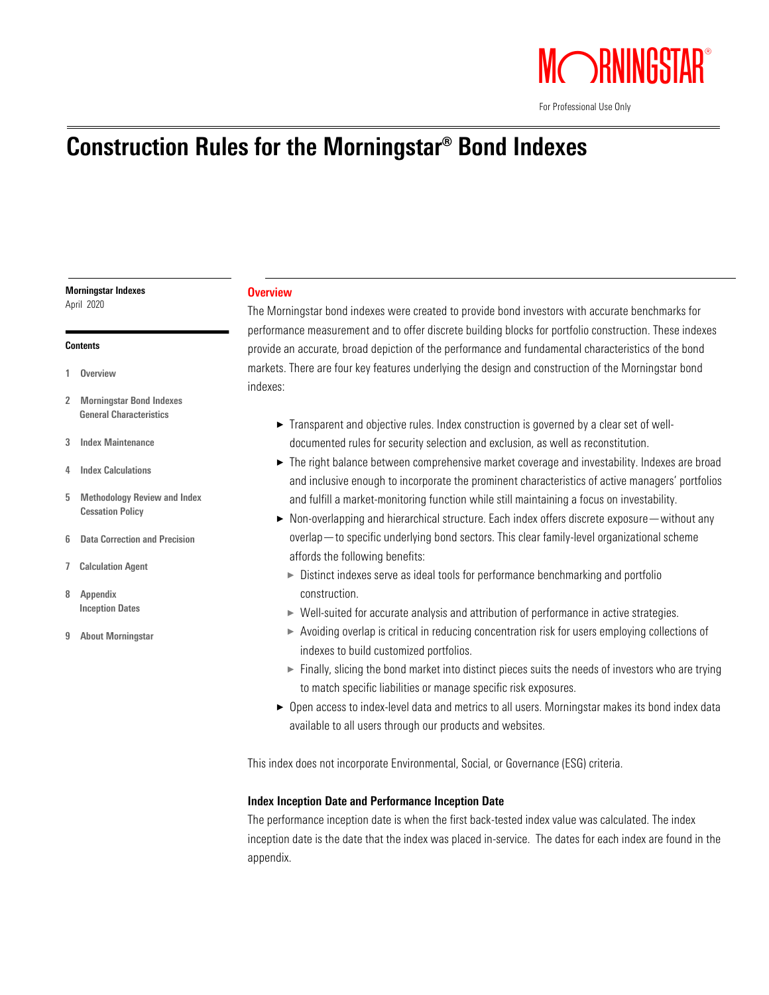

For Professional Use Only

# Construction Rules for the Morningstar® Bond Indexes

#### Morningstar Indexes

April 2020

#### **Contents**

- 1 Overview
- 2 Morningstar Bond Indexes General Characteristics
- 3 Index Maintenance
- 4 Index Calculations
- 5 Methodology Review and Index Cessation Policy
- 6 Data Correction and Precision
- 7 Calculation Agent
- 8 Appendix Inception Dates
- 9 About Morningstar

#### **Overview**

The Morningstar bond indexes were created to provide bond investors with accurate benchmarks for performance measurement and to offer discrete building blocks for portfolio construction. These indexes provide an accurate, broad depiction of the performance and fundamental characteristics of the bond markets. There are four key features underlying the design and construction of the Morningstar bond indexes:

- $\triangleright$  Transparent and objective rules. Index construction is governed by a clear set of welldocumented rules for security selection and exclusion, as well as reconstitution.
- ▶ The right balance between comprehensive market coverage and investability. Indexes are broad and inclusive enough to incorporate the prominent characteristics of active managers' portfolios and fulfill a market-monitoring function while still maintaining a focus on investability.
- ▶ Non-overlapping and hierarchical structure. Each index offers discrete exposure—without any overlap—to specific underlying bond sectors. This clear family-level organizational scheme affords the following benefits:
	- $\triangleright$  Distinct indexes serve as ideal tools for performance benchmarking and portfolio construction.
	- $\triangleright$  Well-suited for accurate analysis and attribution of performance in active strategies.
	- $\triangleright$  Avoiding overlap is critical in reducing concentration risk for users employing collections of indexes to build customized portfolios.
	- $\blacktriangleright$  Finally, slicing the bond market into distinct pieces suits the needs of investors who are trying to match specific liabilities or manage specific risk exposures.
- $\triangleright$  Open access to index-level data and metrics to all users. Morningstar makes its bond index data available to all users through our products and websites.

This index does not incorporate Environmental, Social, or Governance (ESG) criteria.

## Index Inception Date and Performance Inception Date

The performance inception date is when the first back-tested index value was calculated. The index inception date is the date that the index was placed in-service. The dates for each index are found in the appendix.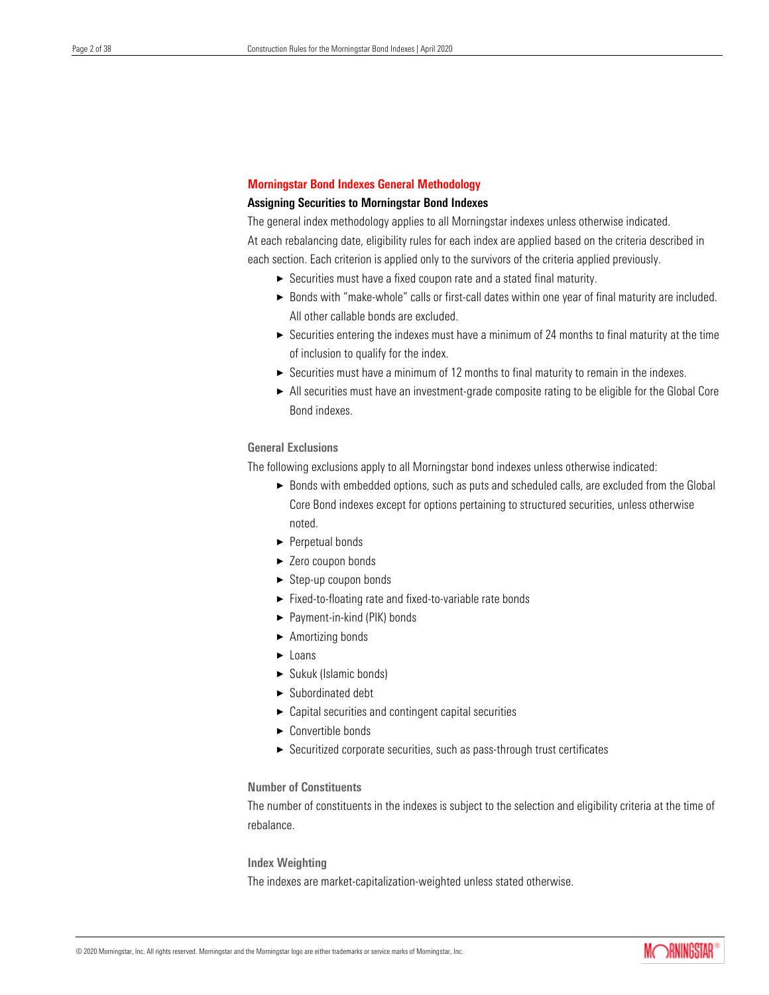#### <span id="page-1-0"></span>Morningstar Bond Indexes General Methodology

## Assigning Securities to Morningstar Bond Indexes

The general index methodology applies to all Morningstar indexes unless otherwise indicated. At each rebalancing date, eligibility rules for each index are applied based on the criteria described in each section. Each criterion is applied only to the survivors of the criteria applied previously.

- $\triangleright$  Securities must have a fixed coupon rate and a stated final maturity.
- × Bonds with "make-whole" calls or first-call dates within one year of final maturity are included. All other callable bonds are excluded.
- $\triangleright$  Securities entering the indexes must have a minimum of 24 months to final maturity at the time of inclusion to qualify for the index.
- $\triangleright$  Securities must have a minimum of 12 months to final maturity to remain in the indexes.
- $\blacktriangleright$  All securities must have an investment-grade composite rating to be eligible for the Global Core Bond indexes.

## General Exclusions

The following exclusions apply to all Morningstar bond indexes unless otherwise indicated:

- $\triangleright$  Bonds with embedded options, such as puts and scheduled calls, are excluded from the Global Core Bond indexes except for options pertaining to structured securities, unless otherwise noted.
- × Perpetual bonds
- ► Zero coupon bonds
- ▶ Step-up coupon bonds
- ► Fixed-to-floating rate and fixed-to-variable rate bonds
- ▶ Payment-in-kind (PIK) bonds
- ► Amortizing bonds
- × Loans
- $\blacktriangleright$  Sukuk (Islamic bonds)
- ► Subordinated debt
- $\blacktriangleright$  Capital securities and contingent capital securities
- ► Convertible bonds
- $\triangleright$  Securitized corporate securities, such as pass-through trust certificates

## Number of Constituents

The number of constituents in the indexes is subject to the selection and eligibility criteria at the time of rebalance.

Index Weighting The indexes are market-capitalization-weighted unless stated otherwise.

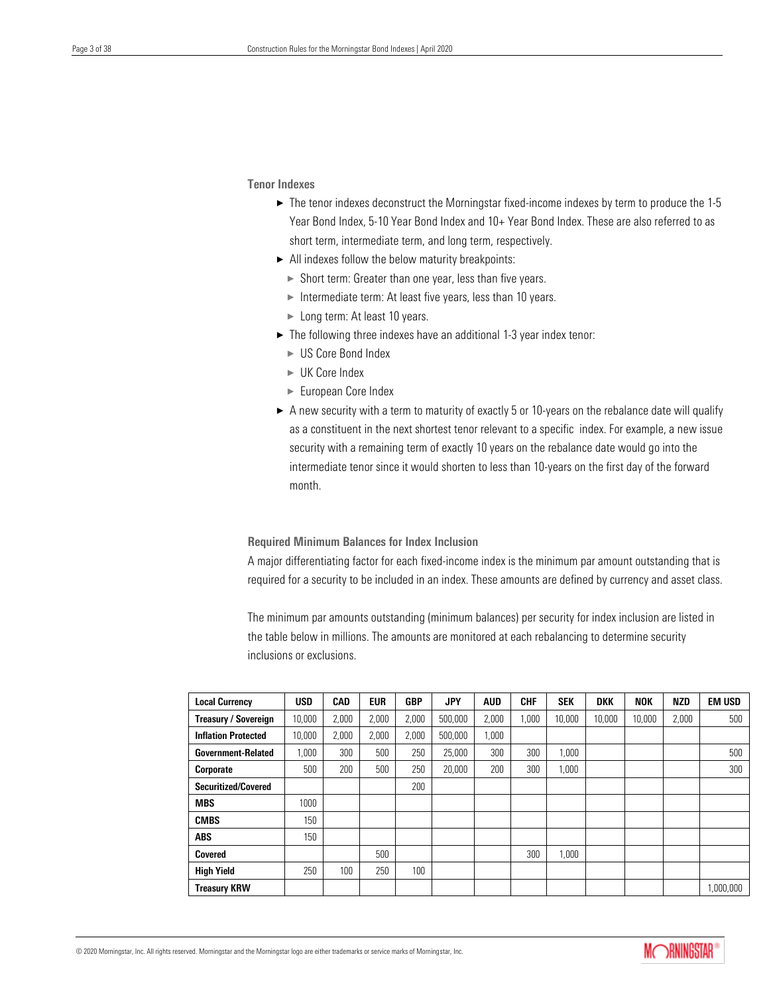## Tenor Indexes

- × The tenor indexes deconstruct the Morningstar fixed-income indexes by term to produce the 1-5 Year Bond Index, 5-10 Year Bond Index and 10+ Year Bond Index. These are also referred to as short term, intermediate term, and long term, respectively.
- $\blacktriangleright$  All indexes follow the below maturity breakpoints:
	- $\triangleright$  Short term: Greater than one year, less than five years.
	- $\blacktriangleright$  Intermediate term: At least five years, less than 10 years.
	- $\blacktriangleright$  Long term: At least 10 years.
- $\blacktriangleright$  The following three indexes have an additional 1-3 year index tenor:
	- × US Core Bond Index
	- $\blacktriangleright$  UK Core Index
	- × European Core Index
- ▶ A new security with a term to maturity of exactly 5 or 10-years on the rebalance date will qualify as a constituent in the next shortest tenor relevant to a specific index. For example, a new issue security with a remaining term of exactly 10 years on the rebalance date would go into the intermediate tenor since it would shorten to less than 10-years on the first day of the forward month.

## <span id="page-2-0"></span>Required Minimum Balances for Index Inclusion

A major differentiating factor for each fixed-income index is the minimum par amount outstanding that is required for a security to be included in an index. These amounts are defined by currency and asset class.

The minimum par amounts outstanding (minimum balances) per security for index inclusion are listed in the table below in millions. The amounts are monitored at each rebalancing to determine security inclusions or exclusions.

| <b>Local Currency</b>       | <b>USD</b> | <b>CAD</b> | <b>EUR</b> | <b>GBP</b> | <b>JPY</b> | <b>AUD</b> | CHF   | <b>SEK</b> | <b>DKK</b> | <b>NOK</b> | <b>NZD</b> | <b>EM USD</b> |
|-----------------------------|------------|------------|------------|------------|------------|------------|-------|------------|------------|------------|------------|---------------|
| <b>Treasury / Sovereign</b> | 10.000     | 2,000      | 2.000      | 2.000      | 500.000    | 2,000      | 0.000 | 10.000     | 10.000     | 10.000     | 2,000      | 500           |
| <b>Inflation Protected</b>  | 10,000     | 2,000      | 2,000      | 2,000      | 500,000    | 1,000      |       |            |            |            |            |               |
| <b>Government-Related</b>   | 1,000      | 300        | 500        | 250        | 25,000     | 300        | 300   | 1,000      |            |            |            | 500           |
| <b>Corporate</b>            | 500        | 200        | 500        | 250        | 20,000     | 200        | 300   | 1,000      |            |            |            | 300           |
| <b>Securitized/Covered</b>  |            |            |            | 200        |            |            |       |            |            |            |            |               |
| <b>MBS</b>                  | 1000       |            |            |            |            |            |       |            |            |            |            |               |
| <b>CMBS</b>                 | 150        |            |            |            |            |            |       |            |            |            |            |               |
| <b>ABS</b>                  | 150        |            |            |            |            |            |       |            |            |            |            |               |
| <b>Covered</b>              |            |            | 500        |            |            |            | 300   | 1,000      |            |            |            |               |
| <b>High Yield</b>           | 250        | 100        | 250        | 100        |            |            |       |            |            |            |            |               |
| <b>Treasury KRW</b>         |            |            |            |            |            |            |       |            |            |            |            | 1.000.000     |

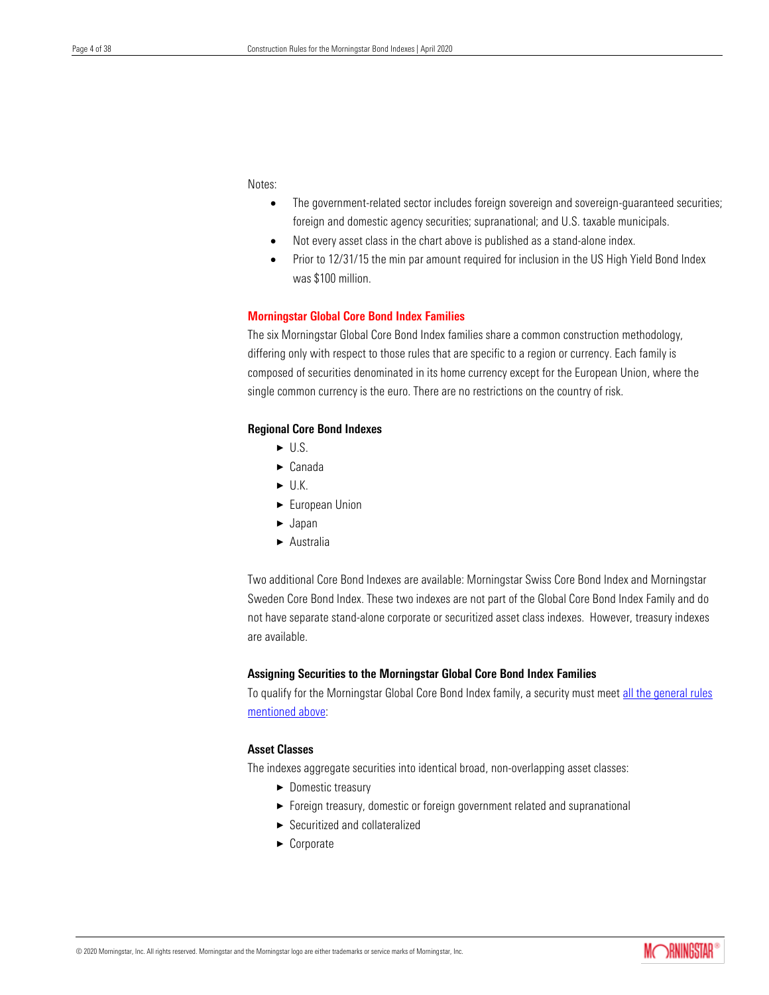Notes:

- The government-related sector includes foreign sovereign and sovereign-guaranteed securities; foreign and domestic agency securities; supranational; and U.S. taxable municipals.
- Not every asset class in the chart above is published as a stand-alone index.
- Prior to 12/31/15 the min par amount required for inclusion in the US High Yield Bond Index was \$100 million.

#### Morningstar Global Core Bond Index Families

The six Morningstar Global Core Bond Index families share a common construction methodology, differing only with respect to those rules that are specific to a region or currency. Each family is composed of securities denominated in its home currency except for the European Union, where the single common currency is the euro. There are no restrictions on the country of risk.

## Regional Core Bond Indexes

- $\blacktriangleright$  U.S.
- × Canada
- $\blacktriangleright$  U.K.
- × European Union
- × Japan
- $\blacktriangleright$  Australia

Two additional Core Bond Indexes are available: Morningstar Swiss Core Bond Index and Morningstar Sweden Core Bond Index. These two indexes are not part of the Global Core Bond Index Family and do not have separate stand-alone corporate or securitized asset class indexes. However, treasury indexes are available.

#### Assigning Securities to the Morningstar Global Core Bond Index Families

To qualify for the Morningstar Global Core Bond Index family, a security must meet [all the general rules](#page-1-0)  [mentioned above:](#page-1-0)

#### Asset Classes

The indexes aggregate securities into identical broad, non-overlapping asset classes:

- ▶ Domestic treasury
- ► Foreign treasury, domestic or foreign government related and supranational
- $\blacktriangleright$  Securitized and collateralized
- × Corporate

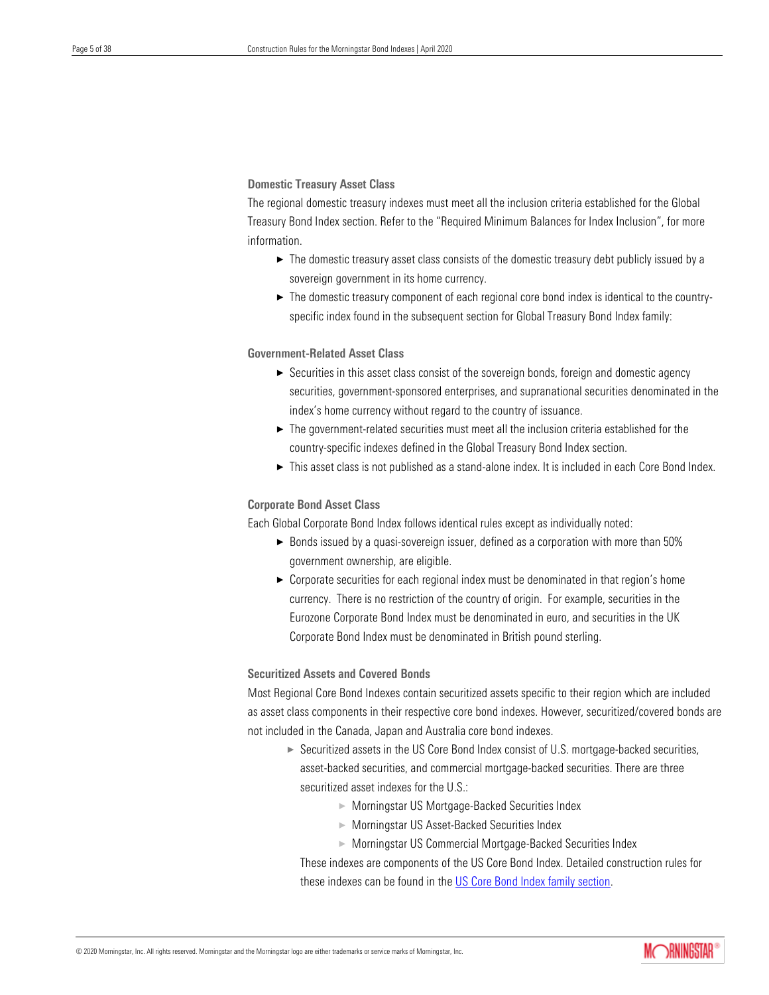## Domestic Treasury Asset Class

The regional domestic treasury indexes must meet all the inclusion criteria established for the Global Treasury Bond Index section. Refer to the "[Required Minimum Balances for Index Inclusion](#page-2-0)", for more information.

- ▶ The domestic treasury asset class consists of the domestic treasury debt publicly issued by a sovereign government in its home currency.
- ▶ The domestic treasury component of each regional core bond index is identical to the countryspecific index found in the subsequent section for Global Treasury Bond Index family:

## <span id="page-4-0"></span>Government-Related Asset Class

- ▶ Securities in this asset class consist of the sovereign bonds, foreign and domestic agency securities, government-sponsored enterprises, and supranational securities denominated in the index's home currency without regard to the country of issuance.
- × The government-related securities must meet all the inclusion criteria established for the country-specific indexes defined in the Global Treasury Bond Index section.
- $\blacktriangleright$  This asset class is not published as a stand-alone index. It is included in each Core Bond Index.

## Corporate Bond Asset Class

Each Global Corporate Bond Index follows identical rules except as individually noted:

- ► Bonds issued by a quasi-sovereign issuer, defined as a corporation with more than 50% government ownership, are eligible.
- $\triangleright$  Corporate securities for each regional index must be denominated in that region's home currency. There is no restriction of the country of origin. For example, securities in the Eurozone Corporate Bond Index must be denominated in euro, and securities in the UK Corporate Bond Index must be denominated in British pound sterling.

## Securitized Assets and Covered Bonds

Most Regional Core Bond Indexes contain securitized assets specific to their region which are included as asset class components in their respective core bond indexes. However, securitized/covered bonds are not included in the Canada, Japan and Australia core bond indexes.

- $\triangleright$  Securitized assets in the US Core Bond Index consist of U.S. mortgage-backed securities, asset-backed securities, and commercial mortgage-backed securities. There are three securitized asset indexes for the U.S.:
	- ► Morningstar US Mortgage-Backed Securities Index
	- ▶ Morningstar US Asset-Backed Securities Index
	- ► Morningstar US Commercial Mortgage-Backed Securities Index

These indexes are components of the US Core Bond Index. Detailed construction rules for these indexes can be found in th[e US Core Bond Index family](#page-5-0) section.

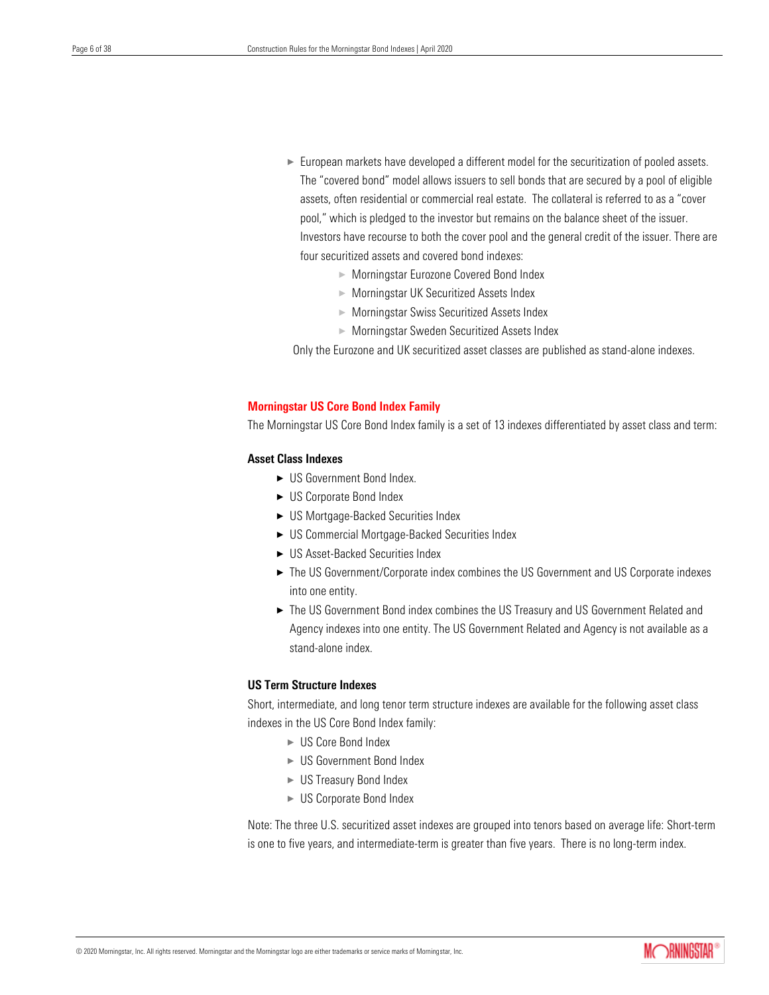- $\triangleright$  European markets have developed a different model for the securitization of pooled assets. The "covered bond" model allows issuers to sell bonds that are secured by a pool of eligible assets, often residential or commercial real estate. The collateral is referred to as a "cover pool," which is pledged to the investor but remains on the balance sheet of the issuer. Investors have recourse to both the cover pool and the general credit of the issuer. There are four securitized assets and covered bond indexes:
	- ► Morningstar Eurozone Covered Bond Index
	- × Morningstar UK Securitized Assets Index
	- ▶ Morningstar Swiss Securitized Assets Index
	- × Morningstar Sweden Securitized Assets Index

Only the Eurozone and UK securitized asset classes are published as stand-alone indexes.

## <span id="page-5-0"></span>Morningstar US Core Bond Index Family

The Morningstar US Core Bond Index family is a set of 13 indexes differentiated by asset class and term:

## Asset Class Indexes

- ► US Government Bond Index.
- ► US Corporate Bond Index
- × US Mortgage-Backed Securities Index
- ► US Commercial Mortgage-Backed Securities Index
- × US Asset-Backed Securities Index
- ▶ The US Government/Corporate index combines the US Government and US Corporate indexes into one entity.
- ► The US Government Bond index combines the US Treasury and US Government Related and Agency indexes into one entity. The US Government Related and Agency is not available as a stand-alone index.

## US Term Structure Indexes

Short, intermediate, and long tenor term structure indexes are available for the following asset class indexes in the US Core Bond Index family:

- ► US Core Bond Index
	- × US Government Bond Index
	- ► US Treasury Bond Index
	- × US Corporate Bond Index

Note: The three U.S. securitized asset indexes are grouped into tenors based on average life: Short-term is one to five years, and intermediate-term is greater than five years. There is no long-term index.

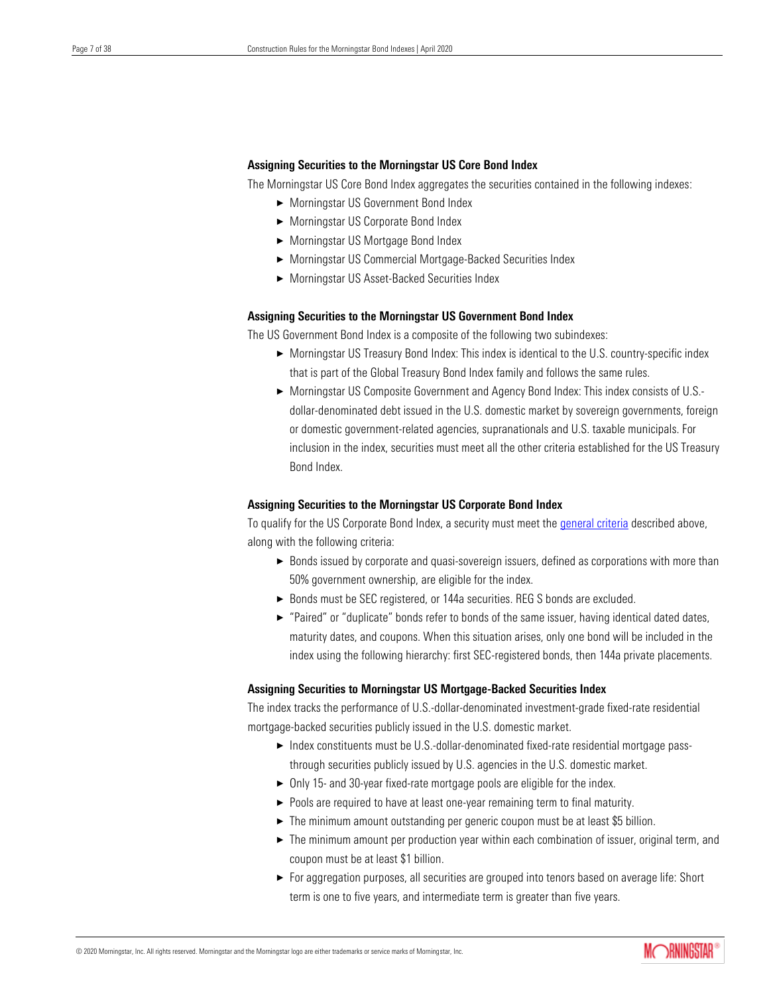## Assigning Securities to the Morningstar US Core Bond Index

The Morningstar US Core Bond Index aggregates the securities contained in the following indexes:

- × Morningstar US Government Bond Index
- ► Morningstar US Corporate Bond Index
- × Morningstar US Mortgage Bond Index
- ▶ Morningstar US Commercial Mortgage-Backed Securities Index
- ▶ Morningstar US Asset-Backed Securities Index

## Assigning Securities to the Morningstar US Government Bond Index

The US Government Bond Index is a composite of the following two subindexes:

- $\triangleright$  Morningstar US Treasury Bond Index: This index is identical to the U.S. country-specific index that is part of the Global Treasury Bond Index family and follows the same rules.
- ► Morningstar US Composite Government and Agency Bond Index: This index consists of U.S.dollar-denominated debt issued in the U.S. domestic market by sovereign governments, foreign or domestic government-related agencies, supranationals and U.S. taxable municipals. For inclusion in the index, securities must meet all the other criteria established for the US Treasury Bond Index.

## Assigning Securities to the Morningstar US Corporate Bond Index

To qualify for the US Corporate Bond Index, a security must meet the [general](#page-1-0) criteria described above, along with the following criteria:

- $\triangleright$  Bonds issued by corporate and quasi-sovereign issuers, defined as corporations with more than 50% government ownership, are eligible for the index.
- ▶ Bonds must be SEC registered, or 144a securities. REG S bonds are excluded.
- ► "Paired" or "duplicate" bonds refer to bonds of the same issuer, having identical dated dates, maturity dates, and coupons. When this situation arises, only one bond will be included in the index using the following hierarchy: first SEC-registered bonds, then 144a private placements.

#### Assigning Securities to Morningstar US Mortgage-Backed Securities Index

The index tracks the performance of U.S.-dollar-denominated investment-grade fixed-rate residential mortgage-backed securities publicly issued in the U.S. domestic market.

- $\blacktriangleright$  Index constituents must be U.S.-dollar-denominated fixed-rate residential mortgage passthrough securities publicly issued by U.S. agencies in the U.S. domestic market.
- ► Only 15- and 30-year fixed-rate mortgage pools are eligible for the index.
- ▶ Pools are required to have at least one-year remaining term to final maturity.
- ▶ The minimum amount outstanding per generic coupon must be at least \$5 billion.
- $\blacktriangleright$  The minimum amount per production year within each combination of issuer, original term, and coupon must be at least \$1 billion.
- × For aggregation purposes, all securities are grouped into tenors based on average life: Short term is one to five years, and intermediate term is greater than five years.

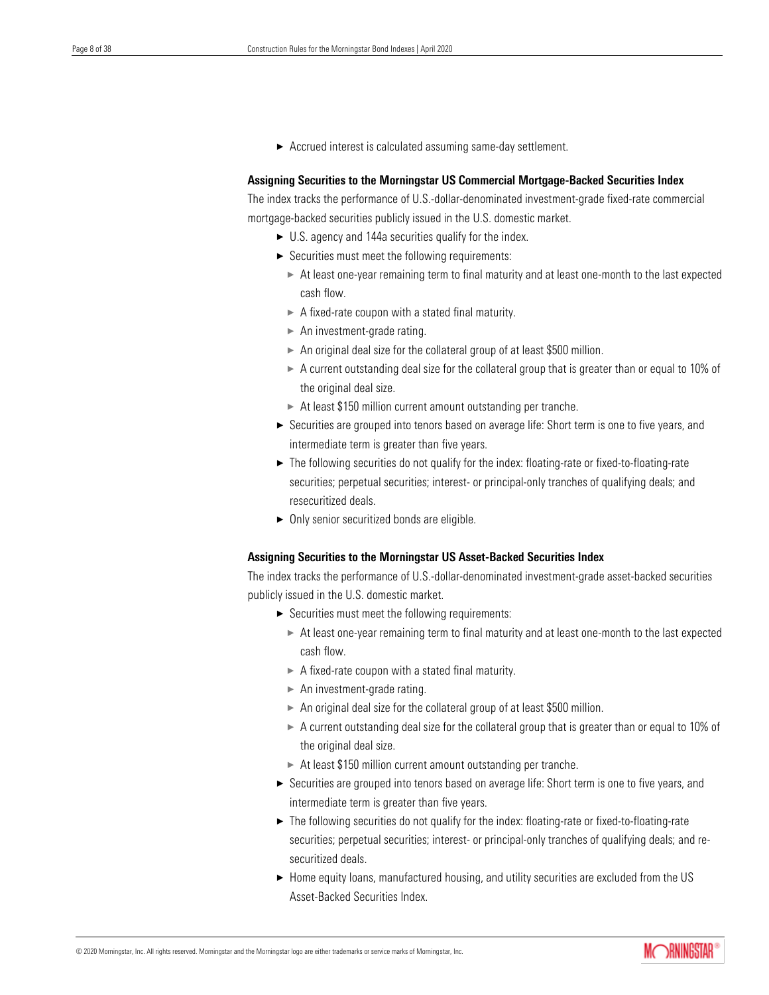$\triangleright$  Accrued interest is calculated assuming same-day settlement.

#### Assigning Securities to the Morningstar US Commercial Mortgage-Backed Securities Index

The index tracks the performance of U.S.-dollar-denominated investment-grade fixed-rate commercial mortgage-backed securities publicly issued in the U.S. domestic market.

- $\triangleright$  U.S. agency and 144a securities qualify for the index.
- $\blacktriangleright$  Securities must meet the following requirements:
	- ► At least one-year remaining term to final maturity and at least one-month to the last expected cash flow.
	- $\blacktriangleright$  A fixed-rate coupon with a stated final maturity.
	- $\blacktriangleright$  An investment-grade rating.
	- $\blacktriangleright$  An original deal size for the collateral group of at least \$500 million.
	- $\triangleright$  A current outstanding deal size for the collateral group that is greater than or equal to 10% of the original deal size.
	- ► At least \$150 million current amount outstanding per tranche.
- ► Securities are grouped into tenors based on average life: Short term is one to five years, and intermediate term is greater than five years.
- × The following securities do not qualify for the index: floating-rate or fixed-to-floating-rate securities; perpetual securities; interest- or principal-only tranches of qualifying deals; and resecuritized deals.
- $\triangleright$  Only senior securitized bonds are eligible.

#### Assigning Securities to the Morningstar US Asset-Backed Securities Index

The index tracks the performance of U.S.-dollar-denominated investment-grade asset-backed securities publicly issued in the U.S. domestic market.

- $\blacktriangleright$  Securities must meet the following requirements:
	- $\triangleright$  At least one-year remaining term to final maturity and at least one-month to the last expected cash flow.
	- $\blacktriangleright$  A fixed-rate coupon with a stated final maturity.
	- $\blacktriangleright$  An investment-grade rating.
	- $\triangleright$  An original deal size for the collateral group of at least \$500 million.
	- $\triangleright$  A current outstanding deal size for the collateral group that is greater than or equal to 10% of the original deal size.
	- $\blacktriangleright$  At least \$150 million current amount outstanding per tranche.
- × Securities are grouped into tenors based on average life: Short term is one to five years, and intermediate term is greater than five years.
- × The following securities do not qualify for the index: floating-rate or fixed-to-floating-rate securities; perpetual securities; interest- or principal-only tranches of qualifying deals; and resecuritized deals.
- × Home equity loans, manufactured housing, and utility securities are excluded from the US Asset-Backed Securities Index.

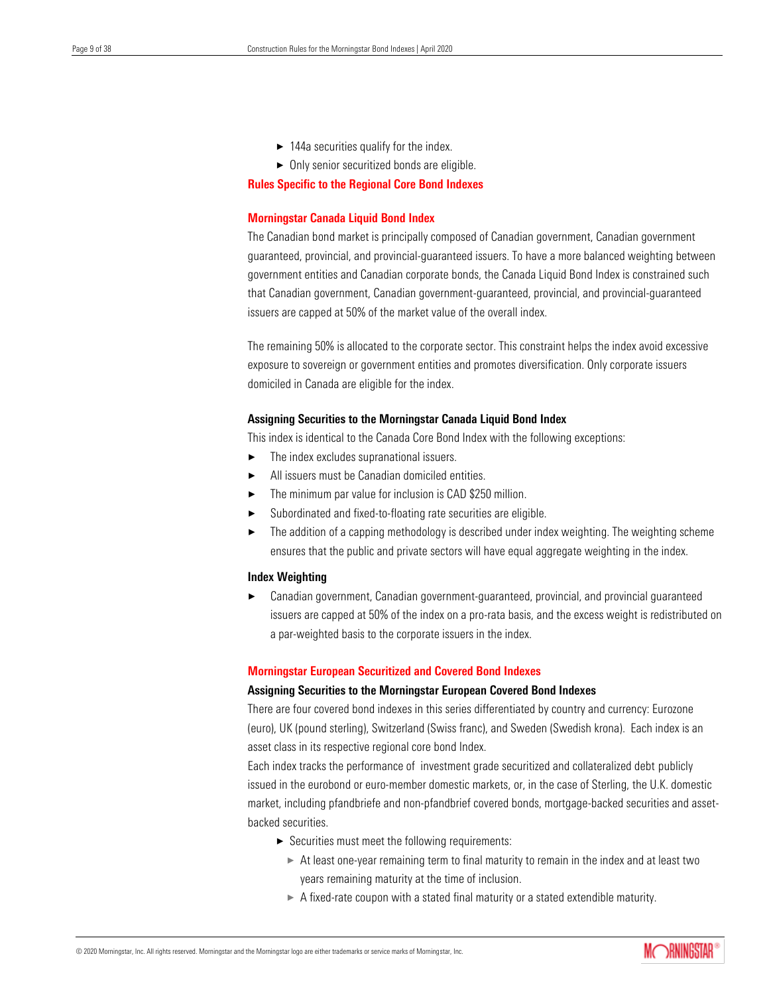- $\blacktriangleright$  144a securities qualify for the index.
- ▶ Only senior securitized bonds are eligible.

#### Rules Specific to the Regional Core Bond Indexes

#### Morningstar Canada Liquid Bond Index

The Canadian bond market is principally composed of Canadian government, Canadian government guaranteed, provincial, and provincial-guaranteed issuers. To have a more balanced weighting between government entities and Canadian corporate bonds, the Canada Liquid Bond Index is constrained such that Canadian government, Canadian government-guaranteed, provincial, and provincial-guaranteed issuers are capped at 50% of the market value of the overall index.

The remaining 50% is allocated to the corporate sector. This constraint helps the index avoid excessive exposure to sovereign or government entities and promotes diversification. Only corporate issuers domiciled in Canada are eligible for the index.

#### Assigning Securities to the Morningstar Canada Liquid Bond Index

This index is identical to the Canada Core Bond Index with the following exceptions:

- The index excludes supranational issuers.
- All issuers must be Canadian domiciled entities.
- The minimum par value for inclusion is CAD \$250 million.
- Subordinated and fixed-to-floating rate securities are eligible.
- The addition of a capping methodology is described under index weighting. The weighting scheme ensures that the public and private sectors will have equal aggregate weighting in the index.

#### Index Weighting

Canadian government, Canadian government-guaranteed, provincial, and provincial guaranteed issuers are capped at 50% of the index on a pro-rata basis, and the excess weight is redistributed on a par-weighted basis to the corporate issuers in the index.

#### Morningstar European Securitized and Covered Bond Indexes

#### Assigning Securities to the Morningstar European Covered Bond Indexes

There are four covered bond indexes in this series differentiated by country and currency: Eurozone (euro), UK (pound sterling), Switzerland (Swiss franc), and Sweden (Swedish krona). Each index is an asset class in its respective regional core bond Index.

Each index tracks the performance of investment grade securitized and collateralized debt publicly issued in the eurobond or euro-member domestic markets, or, in the case of Sterling, the U.K. domestic market, including pfandbriefe and non-pfandbrief covered bonds, mortgage-backed securities and assetbacked securities.

- $\blacktriangleright$  Securities must meet the following requirements:
	- $\triangleright$  At least one-year remaining term to final maturity to remain in the index and at least two years remaining maturity at the time of inclusion.
	- $\triangleright$  A fixed-rate coupon with a stated final maturity or a stated extendible maturity.

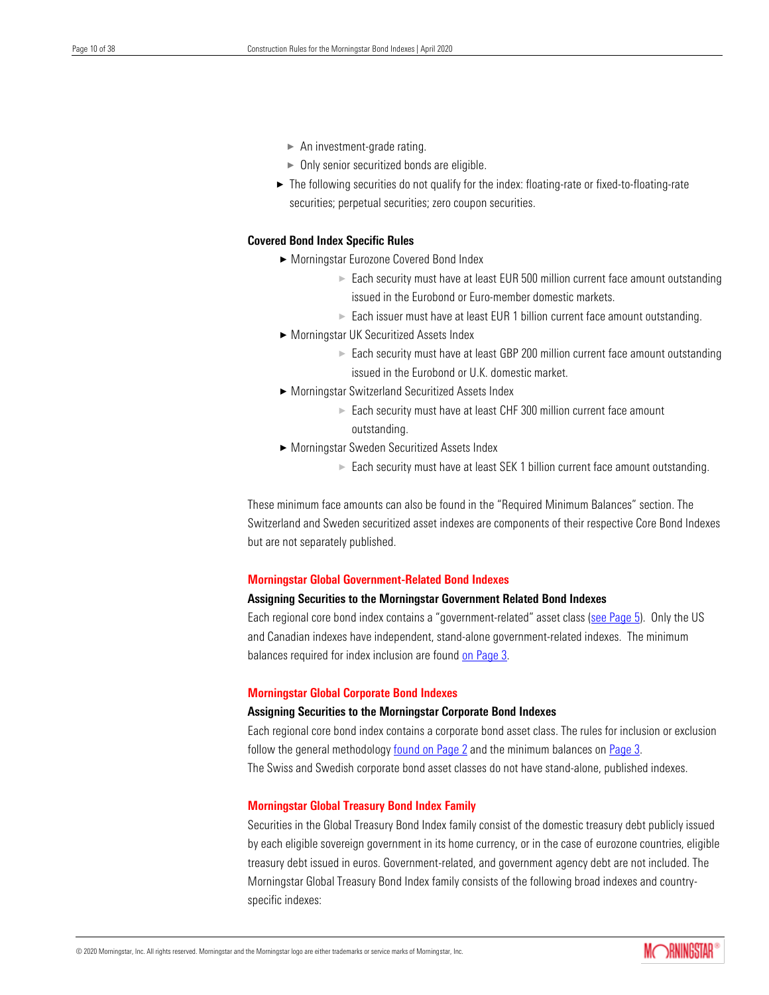- $\blacktriangleright$  An investment-grade rating.
- $\triangleright$  Only senior securitized bonds are eligible.
- ▶ The following securities do not qualify for the index: floating-rate or fixed-to-floating-rate securities; perpetual securities; zero coupon securities.

## Covered Bond Index Specific Rules

- × Morningstar Eurozone Covered Bond Index
	- $\blacktriangleright$  Each security must have at least EUR 500 million current face amount outstanding issued in the Eurobond or Euro-member domestic markets.
	- $\blacktriangleright$  Each issuer must have at least EUR 1 billion current face amount outstanding.
- ▶ Morningstar UK Securitized Assets Index
	- $\blacktriangleright$  Each security must have at least GBP 200 million current face amount outstanding issued in the Eurobond or U.K. domestic market.
- × Morningstar Switzerland Securitized Assets Index
	- $\blacktriangleright$  Each security must have at least CHF 300 million current face amount outstanding.
- × Morningstar Sweden Securitized Assets Index
	- $\blacktriangleright$  Each security must have at least SEK 1 billion current face amount outstanding.

These minimum face amounts can also be found in the "Required Minimum Balances" section. The Switzerland and Sweden securitized asset indexes are components of their respective Core Bond Indexes but are not separately published.

#### Morningstar Global Government-Related Bond Indexes

#### Assigning Securities to the Morningstar Government Related Bond Indexes

Each regional core bond index contains a "government-related" asset class [\(see Page 5\)](#page-4-0). Only the US and Canadian indexes have independent, stand-alone government-related indexes. The minimum balances required for index inclusion are found [on Page 3.](#page-2-0)

#### Morningstar Global Corporate Bond Indexes

#### Assigning Securities to the Morningstar Corporate Bond Indexes

Each regional core bond index contains a corporate bond asset class. The rules for inclusion or exclusion follow the general methodolog[y found on Page 2](#page-1-0) and the minimum balances on [Page 3.](#page-2-0) The Swiss and Swedish corporate bond asset classes do not have stand-alone, published indexes.

#### Morningstar Global Treasury Bond Index Family

Securities in the Global Treasury Bond Index family consist of the domestic treasury debt publicly issued by each eligible sovereign government in its home currency, or in the case of eurozone countries, eligible treasury debt issued in euros. Government-related, and government agency debt are not included. The Morningstar Global Treasury Bond Index family consists of the following broad indexes and countryspecific indexes:

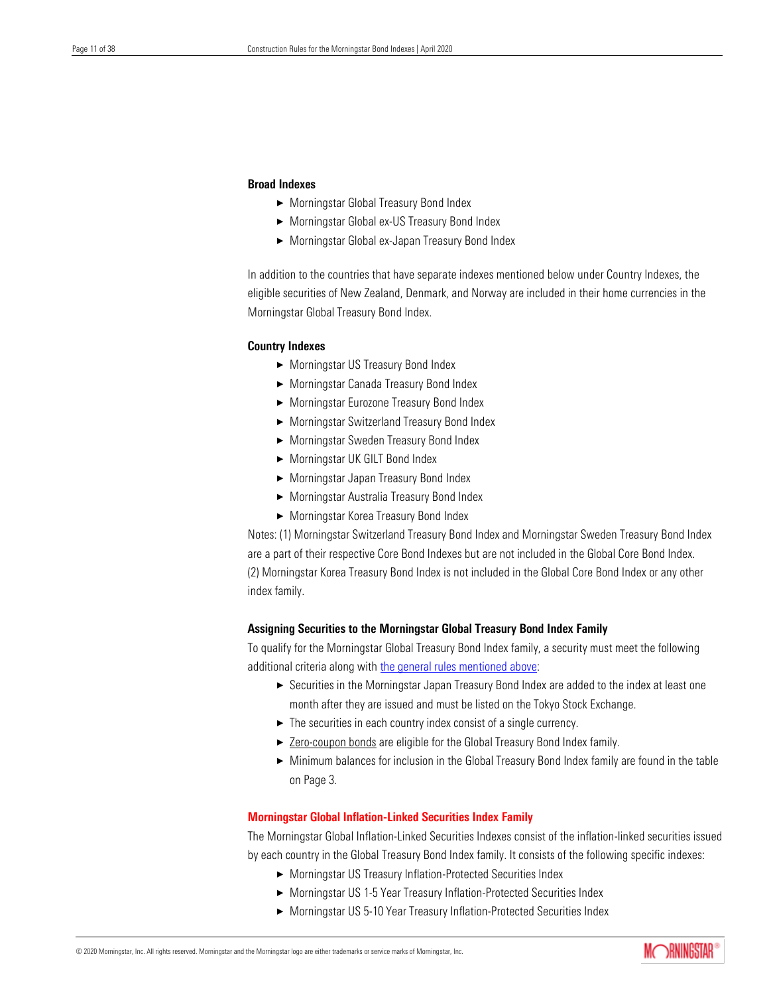## Broad Indexes

- ▶ Morningstar Global Treasury Bond Index
- ▶ Morningstar Global ex-US Treasury Bond Index
- × Morningstar Global ex-Japan Treasury Bond Index

In addition to the countries that have separate indexes mentioned below under Country Indexes, the eligible securities of New Zealand, Denmark, and Norway are included in their home currencies in the Morningstar Global Treasury Bond Index.

## Country Indexes

- ▶ Morningstar US Treasury Bond Index
- × Morningstar Canada Treasury Bond Index
- × Morningstar Eurozone Treasury Bond Index
- × Morningstar Switzerland Treasury Bond Index
- ► Morningstar Sweden Treasury Bond Index
- × Morningstar UK GILT Bond Index
- × Morningstar Japan Treasury Bond Index
- × Morningstar Australia Treasury Bond Index
- × Morningstar Korea Treasury Bond Index

Notes: (1) Morningstar Switzerland Treasury Bond Index and Morningstar Sweden Treasury Bond Index are a part of their respective Core Bond Indexes but are not included in the Global Core Bond Index. (2) Morningstar Korea Treasury Bond Index is not included in the Global Core Bond Index or any other index family.

#### Assigning Securities to the Morningstar Global Treasury Bond Index Family

To qualify for the Morningstar Global Treasury Bond Index family, a security must meet the following additional criteria along wit[h the general rules mentioned above:](#page-1-0)

- ► Securities in the Morningstar Japan Treasury Bond Index are added to the index at least one month after they are issued and must be listed on the Tokyo Stock Exchange.
- $\blacktriangleright$  The securities in each country index consist of a single currency.
- ► Zero-coupon bonds are eligible for the Global Treasury Bond Index family.
- × Minimum balances for inclusion in the Global Treasury Bond Index family are found in the table on Page 3.

#### Morningstar Global Inflation-Linked Securities Index Family

The Morningstar Global Inflation-Linked Securities Indexes consist of the inflation-linked securities issued by each country in the Global Treasury Bond Index family. It consists of the following specific indexes:

- ▶ Morningstar US Treasury Inflation-Protected Securities Index
- ► Morningstar US 1-5 Year Treasury Inflation-Protected Securities Index
- ▶ Morningstar US 5-10 Year Treasury Inflation-Protected Securities Index

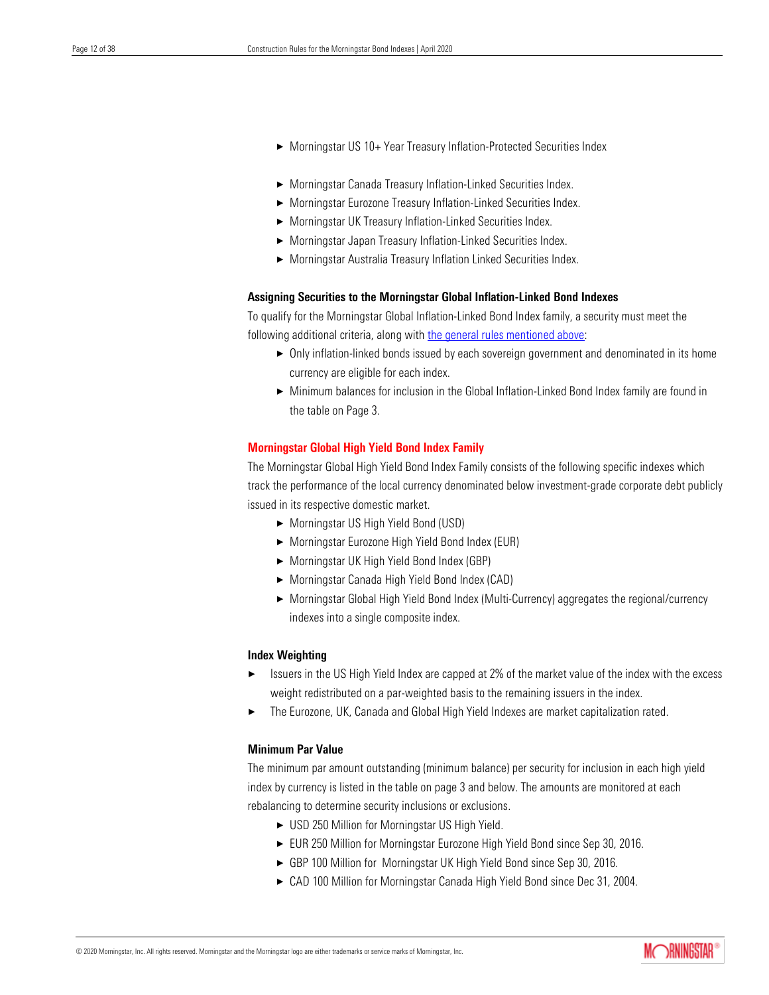- ▶ Morningstar US 10+ Year Treasury Inflation-Protected Securities Index
- × Morningstar Canada Treasury Inflation-Linked Securities Index.
- ▶ Morningstar Eurozone Treasury Inflation-Linked Securities Index.
- × Morningstar UK Treasury Inflation-Linked Securities Index.
- × Morningstar Japan Treasury Inflation-Linked Securities Index.
- × Morningstar Australia Treasury Inflation Linked Securities Index.

#### Assigning Securities to the Morningstar Global Inflation-Linked Bond Indexes

To qualify for the Morningstar Global Inflation-Linked Bond Index family, a security must meet the following additional criteria, along wit[h the general rules mentioned above:](#page-1-0)

- $\triangleright$  Only inflation-linked bonds issued by each sovereign government and denominated in its home currency are eligible for each index.
- ► Minimum balances for inclusion in the Global Inflation-Linked Bond Index family are found in the table on Page 3.

## Morningstar Global High Yield Bond Index Family

The Morningstar Global High Yield Bond Index Family consists of the following specific indexes which track the performance of the local currency denominated below investment-grade corporate debt publicly issued in its respective domestic market.

- × Morningstar US High Yield Bond (USD)
- ▶ Morningstar Eurozone High Yield Bond Index (EUR)
- × Morningstar UK High Yield Bond Index (GBP)
- × Morningstar Canada High Yield Bond Index (CAD)
- ▶ Morningstar Global High Yield Bond Index (Multi-Currency) aggregates the regional/currency indexes into a single composite index.

## Index Weighting

- $\blacktriangleright$  Issuers in the US High Yield Index are capped at 2% of the market value of the index with the excess weight redistributed on a par-weighted basis to the remaining issuers in the index.
- The Eurozone, UK, Canada and Global High Yield Indexes are market capitalization rated.

## Minimum Par Value

The minimum par amount outstanding (minimum balance) per security for inclusion in each high yield index by currency is listed in the table on page 3 and below. The amounts are monitored at each rebalancing to determine security inclusions or exclusions.

- ▶ USD 250 Million for Morningstar US High Yield.
- ► EUR 250 Million for Morningstar Eurozone High Yield Bond since Sep 30, 2016.
- × GBP 100 Million for Morningstar UK High Yield Bond since Sep 30, 2016.
- ► CAD 100 Million for Morningstar Canada High Yield Bond since Dec 31, 2004.

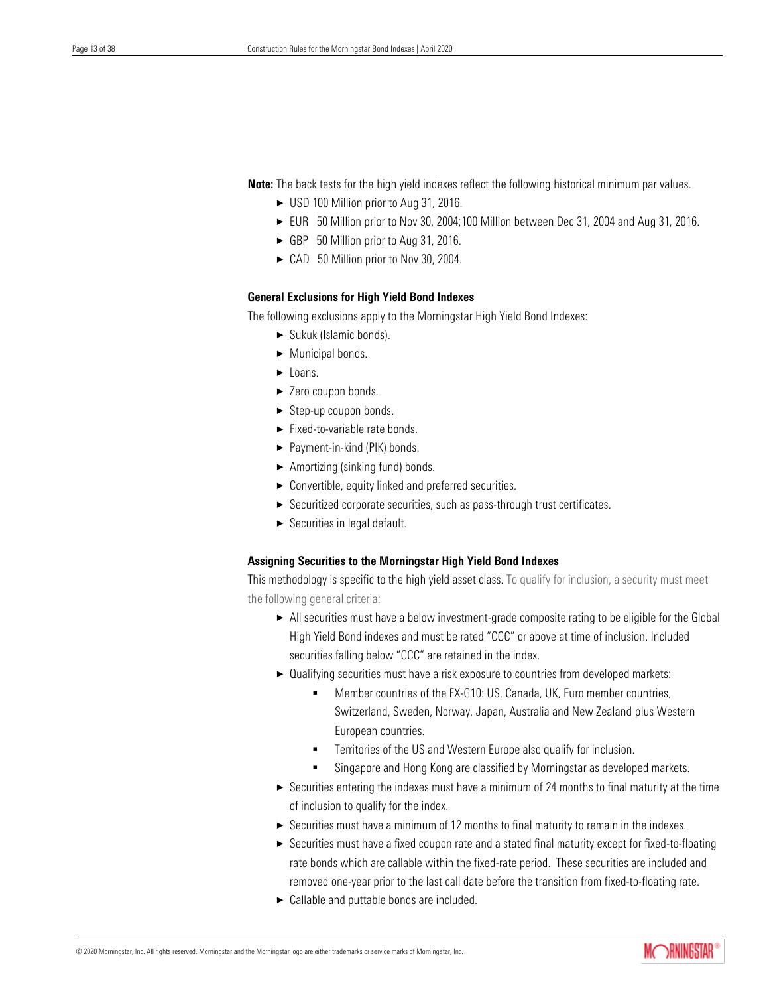Note: The back tests for the high yield indexes reflect the following historical minimum par values.

- ► USD 100 Million prior to Aug 31, 2016.
- ► EUR 50 Million prior to Nov 30, 2004;100 Million between Dec 31, 2004 and Aug 31, 2016.
- ▶ GBP 50 Million prior to Aug 31, 2016.
- ► CAD 50 Million prior to Nov 30, 2004.

## General Exclusions for High Yield Bond Indexes

The following exclusions apply to the Morningstar High Yield Bond Indexes:

- $\blacktriangleright$  Sukuk (Islamic bonds).
- $\blacktriangleright$  Municipal bonds.
- $\blacktriangleright$  Loans.
- ► Zero coupon bonds.
- $\blacktriangleright$  Step-up coupon bonds.
- $\blacktriangleright$  Fixed-to-variable rate bonds.
- ▶ Payment-in-kind (PIK) bonds.
- $\blacktriangleright$  Amortizing (sinking fund) bonds.
- $\triangleright$  Convertible, equity linked and preferred securities.
- $\blacktriangleright$  Securitized corporate securities, such as pass-through trust certificates.
- $\blacktriangleright$  Securities in legal default.

## Assigning Securities to the Morningstar High Yield Bond Indexes

This methodology is specific to the high yield asset class. To qualify for inclusion, a security must meet the following general criteria:

- $\triangleright$  All securities must have a below investment-grade composite rating to be eligible for the Global High Yield Bond indexes and must be rated "CCC" or above at time of inclusion. Included securities falling below "CCC" are retained in the index.
- ▶ Qualifying securities must have a risk exposure to countries from developed markets:
	- Member countries of the FX-G10: US, Canada, UK, Euro member countries, Switzerland, Sweden, Norway, Japan, Australia and New Zealand plus Western European countries.
	- Territories of the US and Western Europe also qualify for inclusion.
	- Singapore and Hong Kong are classified by Morningstar as developed markets.
- $\triangleright$  Securities entering the indexes must have a minimum of 24 months to final maturity at the time of inclusion to qualify for the index.
- $\triangleright$  Securities must have a minimum of 12 months to final maturity to remain in the indexes.
- ▶ Securities must have a fixed coupon rate and a stated final maturity except for fixed-to-floating rate bonds which are callable within the fixed-rate period. These securities are included and removed one-year prior to the last call date before the transition from fixed-to-floating rate.
- ► Callable and puttable bonds are included.

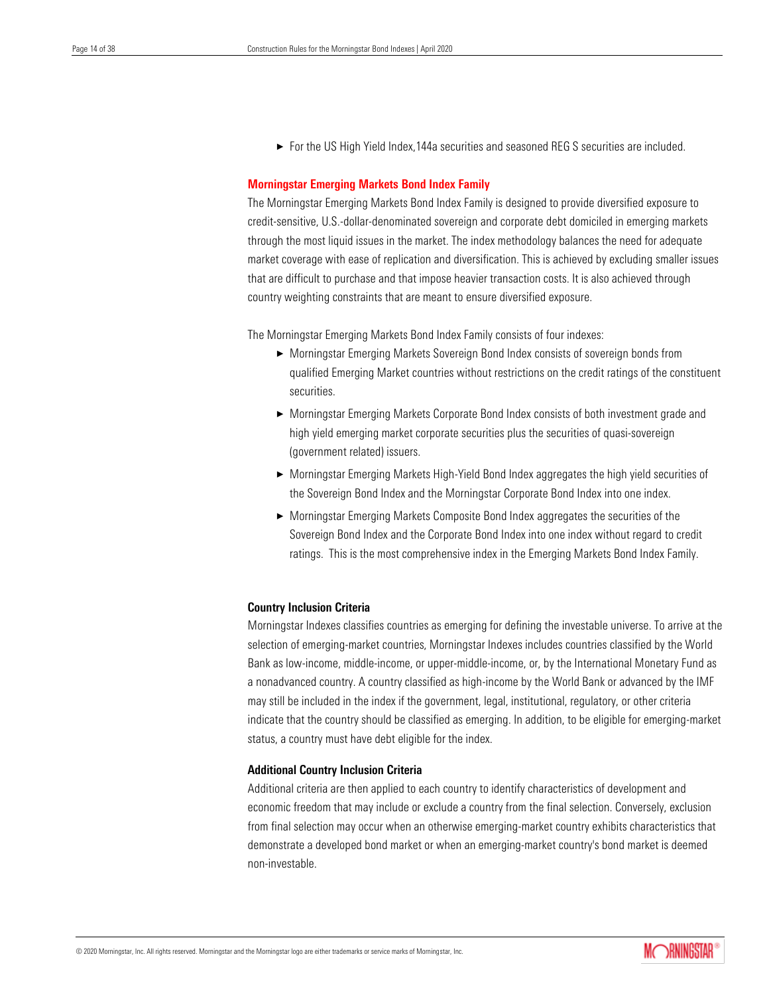► For the US High Yield Index, 144a securities and seasoned REG S securities are included.

#### Morningstar Emerging Markets Bond Index Family

The Morningstar Emerging Markets Bond Index Family is designed to provide diversified exposure to credit-sensitive, U.S.-dollar-denominated sovereign and corporate debt domiciled in emerging markets through the most liquid issues in the market. The index methodology balances the need for adequate market coverage with ease of replication and diversification. This is achieved by excluding smaller issues that are difficult to purchase and that impose heavier transaction costs. It is also achieved through country weighting constraints that are meant to ensure diversified exposure.

The Morningstar Emerging Markets Bond Index Family consists of four indexes:

- ► Morningstar Emerging Markets Sovereign Bond Index consists of sovereign bonds from qualified Emerging Market countries without restrictions on the credit ratings of the constituent securities.
- ► Morningstar Emerging Markets Corporate Bond Index consists of both investment grade and high yield emerging market corporate securities plus the securities of quasi-sovereign (government related) issuers.
- × Morningstar Emerging Markets High-Yield Bond Index aggregates the high yield securities of the Sovereign Bond Index and the Morningstar Corporate Bond Index into one index.
- × Morningstar Emerging Markets Composite Bond Index aggregates the securities of the Sovereign Bond Index and the Corporate Bond Index into one index without regard to credit ratings. This is the most comprehensive index in the Emerging Markets Bond Index Family.

## Country Inclusion Criteria

Morningstar Indexes classifies countries as emerging for defining the investable universe. To arrive at the selection of emerging-market countries, Morningstar Indexes includes countries classified by the World Bank as low-income, middle-income, or upper-middle-income, or, by the International Monetary Fund as a nonadvanced country. A country classified as high-income by the World Bank or advanced by the IMF may still be included in the index if the government, legal, institutional, regulatory, or other criteria indicate that the country should be classified as emerging. In addition, to be eligible for emerging-market status, a country must have debt eligible for the index.

#### Additional Country Inclusion Criteria

Additional criteria are then applied to each country to identify characteristics of development and economic freedom that may include or exclude a country from the final selection. Conversely, exclusion from final selection may occur when an otherwise emerging-market country exhibits characteristics that demonstrate a developed bond market or when an emerging-market country's bond market is deemed non-investable.

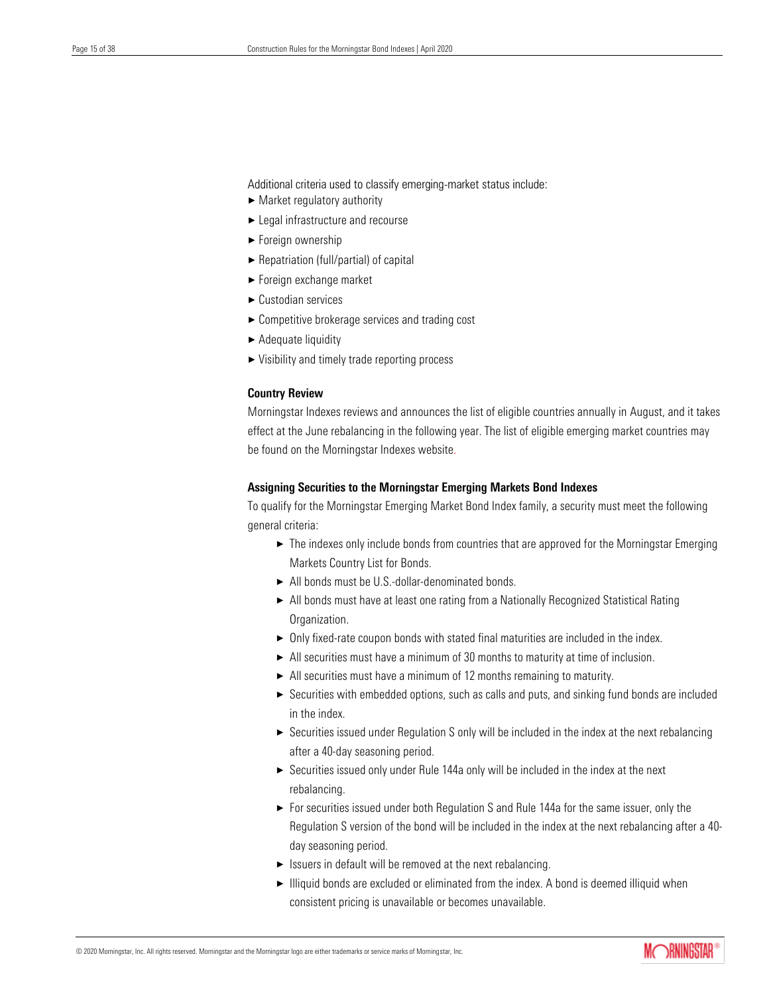Additional criteria used to classify emerging-market status include:

- × Market regulatory authority
- ► Legal infrastructure and recourse
- × Foreign ownership
- × Repatriation (full/partial) of capital
- ► Foreign exchange market
- $\blacktriangleright$  Custodian services
- × Competitive brokerage services and trading cost
- $\blacktriangleright$  Adequate liquidity
- × Visibility and timely trade reporting process

#### Country Review

Morningstar Indexes reviews and announces the list of eligible countries annually in August, and it takes effect at the June rebalancing in the following year. The list of eligible emerging market countries may be found on the Morningstar Indexes website.

#### Assigning Securities to the Morningstar Emerging Markets Bond Indexes

To qualify for the Morningstar Emerging Market Bond Index family, a security must meet the following general criteria:

- × The indexes only include bonds from countries that are approved for the Morningstar Emerging Markets Country List for Bonds.
- ▶ All bonds must be U.S.-dollar-denominated bonds.
- × All bonds must have at least one rating from a Nationally Recognized Statistical Rating Organization.
- $\triangleright$  Only fixed-rate coupon bonds with stated final maturities are included in the index.
- × All securities must have a minimum of 30 months to maturity at time of inclusion.
- $\blacktriangleright$  All securities must have a minimum of 12 months remaining to maturity.
- $\triangleright$  Securities with embedded options, such as calls and puts, and sinking fund bonds are included in the index.
- ► Securities issued under Regulation S only will be included in the index at the next rebalancing after a 40-day seasoning period.
- $\blacktriangleright$  Securities issued only under Rule 144a only will be included in the index at the next rebalancing.
- ► For securities issued under both Regulation S and Rule 144a for the same issuer, only the Regulation S version of the bond will be included in the index at the next rebalancing after a 40 day seasoning period.
- $\blacktriangleright$  Issuers in default will be removed at the next rebalancing.
- × Illiquid bonds are excluded or eliminated from the index. A bond is deemed illiquid when consistent pricing is unavailable or becomes unavailable.

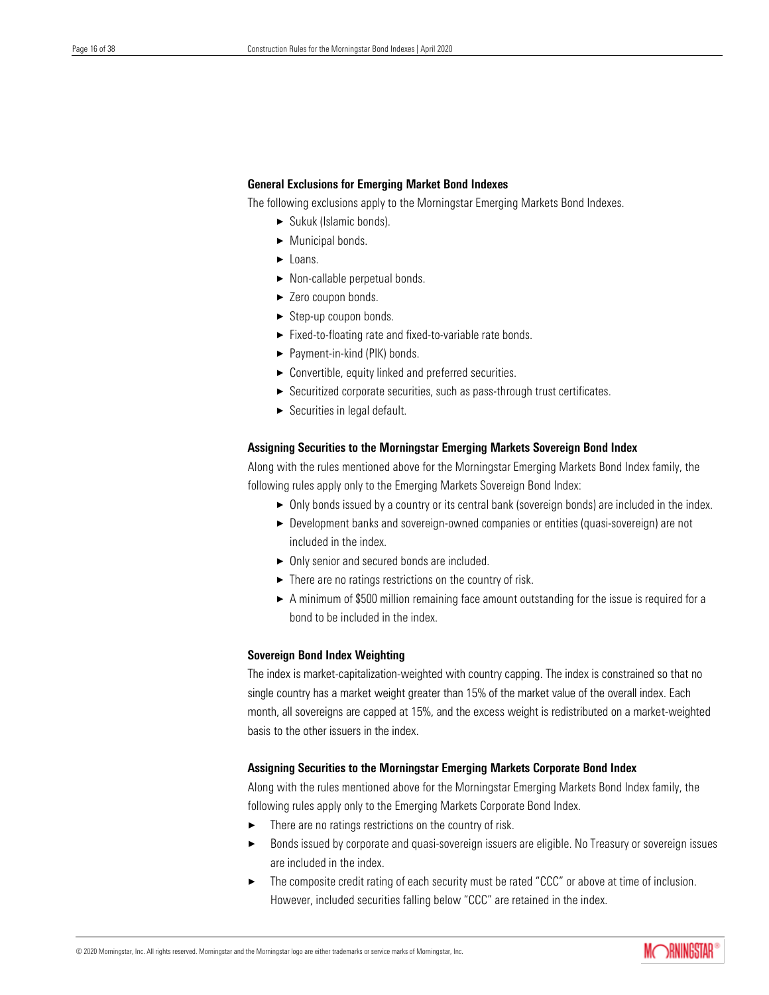#### General Exclusions for Emerging Market Bond Indexes

The following exclusions apply to the Morningstar Emerging Markets Bond Indexes.

- $\blacktriangleright$  Sukuk (Islamic bonds).
- $\blacktriangleright$  Municipal bonds.
- $\blacktriangleright$  Loans.
- × Non-callable perpetual bonds.
- ▶ Zero coupon bonds.
- $\blacktriangleright$  Step-up coupon bonds.
- $\blacktriangleright$  Fixed-to-floating rate and fixed-to-variable rate bonds.
- ▶ Payment-in-kind (PIK) bonds.
- $\triangleright$  Convertible, equity linked and preferred securities.
- ▶ Securitized corporate securities, such as pass-through trust certificates.
- $\blacktriangleright$  Securities in legal default.

#### Assigning Securities to the Morningstar Emerging Markets Sovereign Bond Index

Along with the rules mentioned above for the Morningstar Emerging Markets Bond Index family, the following rules apply only to the Emerging Markets Sovereign Bond Index:

- ▶ Only bonds issued by a country or its central bank (sovereign bonds) are included in the index.
- $\triangleright$  Development banks and sovereign-owned companies or entities (quasi-sovereign) are not included in the index.
- ▶ Only senior and secured bonds are included.
- $\blacktriangleright$  There are no ratings restrictions on the country of risk.
- ► A minimum of \$500 million remaining face amount outstanding for the issue is required for a bond to be included in the index.

#### Sovereign Bond Index Weighting

The index is market-capitalization-weighted with country capping. The index is constrained so that no single country has a market weight greater than 15% of the market value of the overall index. Each month, all sovereigns are capped at 15%, and the excess weight is redistributed on a market-weighted basis to the other issuers in the index.

#### Assigning Securities to the Morningstar Emerging Markets Corporate Bond Index

Along with the rules mentioned above for the Morningstar Emerging Markets Bond Index family, the following rules apply only to the Emerging Markets Corporate Bond Index.

- There are no ratings restrictions on the country of risk.
- ▶ Bonds issued by corporate and quasi-sovereign issuers are eligible. No Treasury or sovereign issues are included in the index.
- The composite credit rating of each security must be rated "CCC" or above at time of inclusion. However, included securities falling below "CCC" are retained in the index.

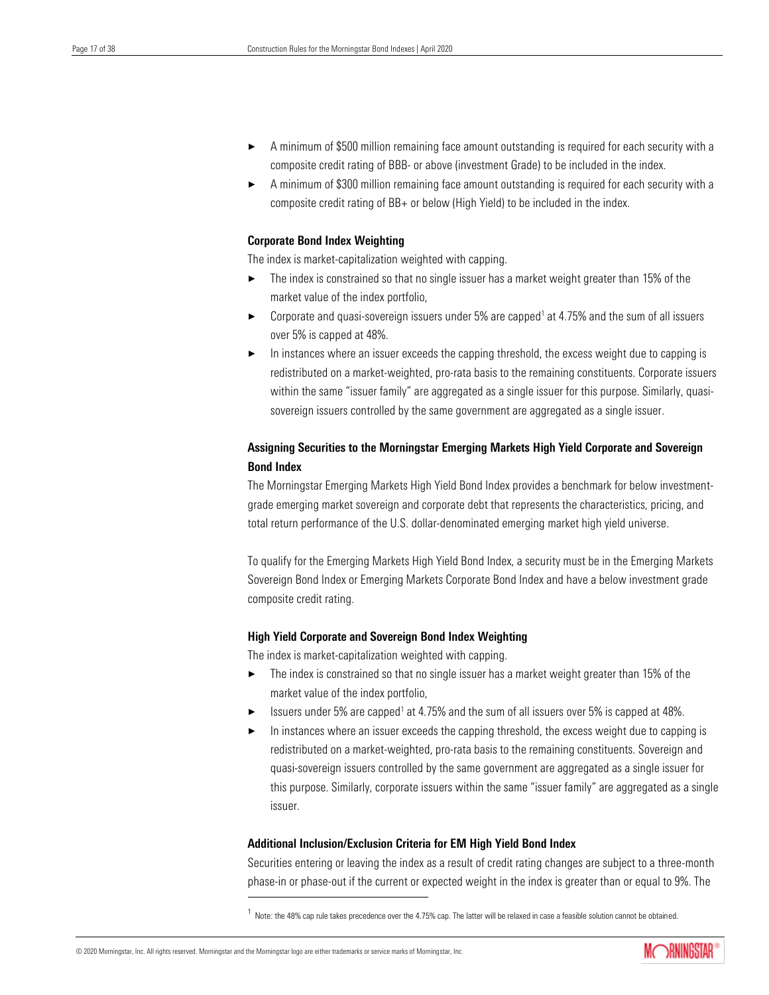- A minimum of \$500 million remaining face amount outstanding is required for each security with a composite credit rating of BBB- or above (investment Grade) to be included in the index.
- × A minimum of \$300 million remaining face amount outstanding is required for each security with a composite credit rating of BB+ or below (High Yield) to be included in the index.

#### Corporate Bond Index Weighting

The index is market-capitalization weighted with capping.

- The index is constrained so that no single issuer has a market weight greater than 15% of the market value of the index portfolio,
- $\triangleright$  Corporate and quasi-sovereign issuers under 5% are capped<sup>1</sup> at 4.75% and the sum of all issuers over 5% is capped at 48%.
- In instances where an issuer exceeds the capping threshold, the excess weight due to capping is redistributed on a market-weighted, pro-rata basis to the remaining constituents. Corporate issuers within the same "issuer family" are aggregated as a single issuer for this purpose. Similarly, quasisovereign issuers controlled by the same government are aggregated as a single issuer.

# Assigning Securities to the Morningstar Emerging Markets High Yield Corporate and Sovereign Bond Index

The Morningstar Emerging Markets High Yield Bond Index provides a benchmark for below investmentgrade emerging market sovereign and corporate debt that represents the characteristics, pricing, and total return performance of the U.S. dollar-denominated emerging market high yield universe.

To qualify for the Emerging Markets High Yield Bond Index, a security must be in the Emerging Markets Sovereign Bond Index or Emerging Markets Corporate Bond Index and have a below investment grade composite credit rating.

#### High Yield Corporate and Sovereign Bond Index Weighting

The index is market-capitalization weighted with capping.

- $\blacktriangleright$  The index is constrained so that no single issuer has a market weight greater than 15% of the market value of the index portfolio,
- ► Issuers under 5% are capped<sup>1</sup> at 4.75% and the sum of all issuers over 5% is capped at 48%.
- In instances where an issuer exceeds the capping threshold, the excess weight due to capping is redistributed on a market-weighted, pro-rata basis to the remaining constituents. Sovereign and quasi-sovereign issuers controlled by the same government are aggregated as a single issuer for this purpose. Similarly, corporate issuers within the same "issuer family" are aggregated as a single issuer.

## Additional Inclusion/Exclusion Criteria for EM High Yield Bond Index

Securities entering or leaving the index as a result of credit rating changes are subject to a three-month phase-in or phase-out if the current or expected weight in the index is greater than or equal to 9%. The

 $\overline{a}$ 



<sup>&</sup>lt;sup>1</sup> Note: the 48% cap rule takes precedence over the 4.75% cap. The latter will be relaxed in case a feasible solution cannot be obtained.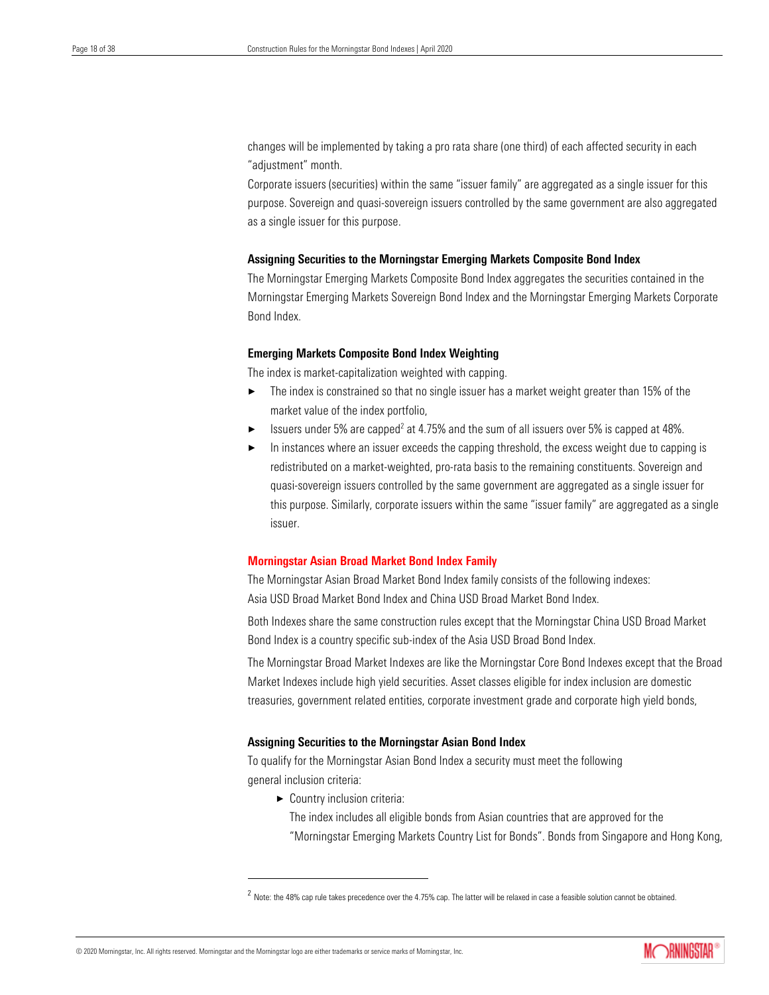changes will be implemented by taking a pro rata share (one third) of each affected security in each "adjustment" month.

Corporate issuers (securities) within the same "issuer family" are aggregated as a single issuer for this purpose. Sovereign and quasi-sovereign issuers controlled by the same government are also aggregated as a single issuer for this purpose.

#### Assigning Securities to the Morningstar Emerging Markets Composite Bond Index

The Morningstar Emerging Markets Composite Bond Index aggregates the securities contained in the Morningstar Emerging Markets Sovereign Bond Index and the Morningstar Emerging Markets Corporate Bond Index.

#### Emerging Markets Composite Bond Index Weighting

The index is market-capitalization weighted with capping.

- $\blacktriangleright$  The index is constrained so that no single issuer has a market weight greater than 15% of the market value of the index portfolio,
- $\blacktriangleright$  Issuers under 5% are capped<sup>2</sup> at 4.75% and the sum of all issuers over 5% is capped at 48%.
- In instances where an issuer exceeds the capping threshold, the excess weight due to capping is redistributed on a market-weighted, pro-rata basis to the remaining constituents. Sovereign and quasi-sovereign issuers controlled by the same government are aggregated as a single issuer for this purpose. Similarly, corporate issuers within the same "issuer family" are aggregated as a single issuer.

## Morningstar Asian Broad Market Bond Index Family

The Morningstar Asian Broad Market Bond Index family consists of the following indexes: Asia USD Broad Market Bond Index and China USD Broad Market Bond Index.

Both Indexes share the same construction rules except that the Morningstar China USD Broad Market Bond Index is a country specific sub-index of the Asia USD Broad Bond Index.

The Morningstar Broad Market Indexes are like the Morningstar Core Bond Indexes except that the Broad Market Indexes include high yield securities. Asset classes eligible for index inclusion are domestic treasuries, government related entities, corporate investment grade and corporate high yield bonds,

#### Assigning Securities to the Morningstar Asian Bond Index

To qualify for the Morningstar Asian Bond Index a security must meet the following general inclusion criteria:

 $\blacktriangleright$  Country inclusion criteria:

 The index includes all eligible bonds from Asian countries that are approved for the "Morningstar Emerging Markets Country List for Bonds". Bonds from Singapore and Hong Kong,

 $\overline{a}$ 



 $^2$  Note: the 48% cap rule takes precedence over the 4.75% cap. The latter will be relaxed in case a feasible solution cannot be obtained.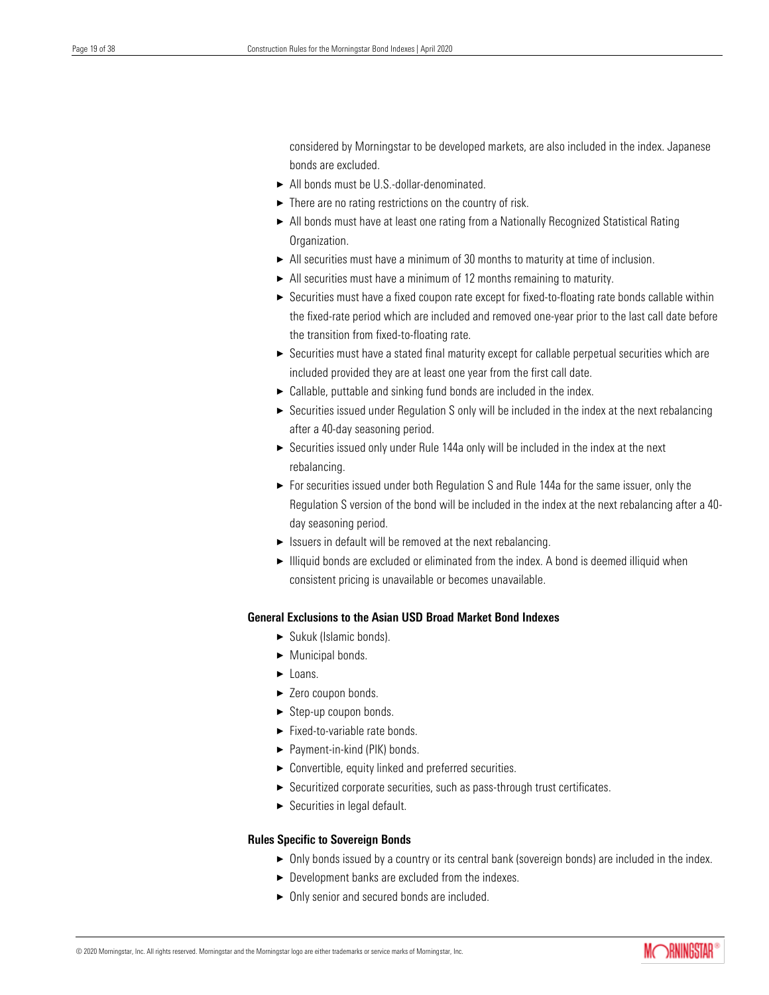considered by Morningstar to be developed markets, are also included in the index. Japanese bonds are excluded.

- ▶ All bonds must be U.S.-dollar-denominated.
- $\blacktriangleright$  There are no rating restrictions on the country of risk.
- ► All bonds must have at least one rating from a Nationally Recognized Statistical Rating Organization.
- ▶ All securities must have a minimum of 30 months to maturity at time of inclusion.
- $\blacktriangleright$  All securities must have a minimum of 12 months remaining to maturity.
- ▶ Securities must have a fixed coupon rate except for fixed-to-floating rate bonds callable within the fixed-rate period which are included and removed one-year prior to the last call date before the transition from fixed-to-floating rate.
- $\triangleright$  Securities must have a stated final maturity except for callable perpetual securities which are included provided they are at least one year from the first call date.
- $\blacktriangleright$  Callable, puttable and sinking fund bonds are included in the index.
- $\triangleright$  Securities issued under Regulation S only will be included in the index at the next rebalancing after a 40-day seasoning period.
- ▶ Securities issued only under Rule 144a only will be included in the index at the next rebalancing.
- ► For securities issued under both Regulation S and Rule 144a for the same issuer, only the Regulation S version of the bond will be included in the index at the next rebalancing after a 40 day seasoning period.
- $\blacktriangleright$  Issuers in default will be removed at the next rebalancing.
- ► Illiquid bonds are excluded or eliminated from the index. A bond is deemed illiquid when consistent pricing is unavailable or becomes unavailable.

## General Exclusions to the Asian USD Broad Market Bond Indexes

- ▶ Sukuk (Islamic bonds).
- ► Municipal bonds.
- $\blacktriangleright$  Loans.
- ► Zero coupon bonds.
- ► Step-up coupon bonds.
- ► Fixed-to-variable rate bonds.
- ▶ Payment-in-kind (PIK) bonds.
- $\triangleright$  Convertible, equity linked and preferred securities.
- $\blacktriangleright$  Securitized corporate securities, such as pass-through trust certificates.
- $\blacktriangleright$  Securities in legal default.

#### Rules Specific to Sovereign Bonds

- $\triangleright$  Only bonds issued by a country or its central bank (sovereign bonds) are included in the index.
- $\blacktriangleright$  Development banks are excluded from the indexes.
- ▶ Only senior and secured bonds are included.

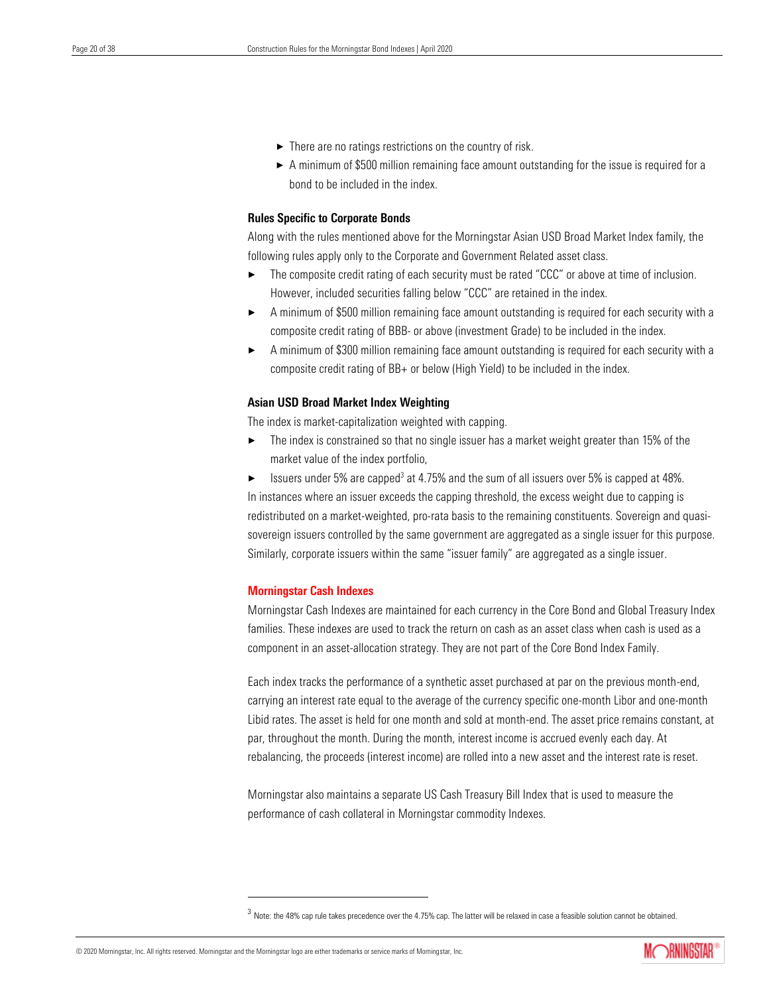- $\blacktriangleright$  There are no ratings restrictions on the country of risk.
- ▶ A minimum of \$500 million remaining face amount outstanding for the issue is required for a bond to be included in the index.

#### Rules Specific to Corporate Bonds

Along with the rules mentioned above for the Morningstar Asian USD Broad Market Index family, the following rules apply only to the Corporate and Government Related asset class.

- $\blacktriangleright$  The composite credit rating of each security must be rated "CCC" or above at time of inclusion. However, included securities falling below "CCC" are retained in the index.
- A minimum of \$500 million remaining face amount outstanding is required for each security with a composite credit rating of BBB- or above (investment Grade) to be included in the index.
- ► A minimum of \$300 million remaining face amount outstanding is required for each security with a composite credit rating of BB+ or below (High Yield) to be included in the index.

#### Asian USD Broad Market Index Weighting

The index is market-capitalization weighted with capping.

- The index is constrained so that no single issuer has a market weight greater than 15% of the market value of the index portfolio,
- $\blacktriangleright$  Issuers under 5% are capped<sup>3</sup> at 4.75% and the sum of all issuers over 5% is capped at 48%. In instances where an issuer exceeds the capping threshold, the excess weight due to capping is redistributed on a market-weighted, pro-rata basis to the remaining constituents. Sovereign and quasisovereign issuers controlled by the same government are aggregated as a single issuer for this purpose. Similarly, corporate issuers within the same "issuer family" are aggregated as a single issuer.

#### Morningstar Cash Indexes

Morningstar Cash Indexes are maintained for each currency in the Core Bond and Global Treasury Index families. These indexes are used to track the return on cash as an asset class when cash is used as a component in an asset-allocation strategy. They are not part of the Core Bond Index Family.

Each index tracks the performance of a synthetic asset purchased at par on the previous month-end, carrying an interest rate equal to the average of the currency specific one-month Libor and one-month Libid rates. The asset is held for one month and sold at month-end. The asset price remains constant, at par, throughout the month. During the month, interest income is accrued evenly each day. At rebalancing, the proceeds (interest income) are rolled into a new asset and the interest rate is reset.

Morningstar also maintains a separate US Cash Treasury Bill Index that is used to measure the performance of cash collateral in Morningstar commodity Indexes.

 $\overline{a}$ 



 $^3$  Note: the 48% cap rule takes precedence over the 4.75% cap. The latter will be relaxed in case a feasible solution cannot be obtained.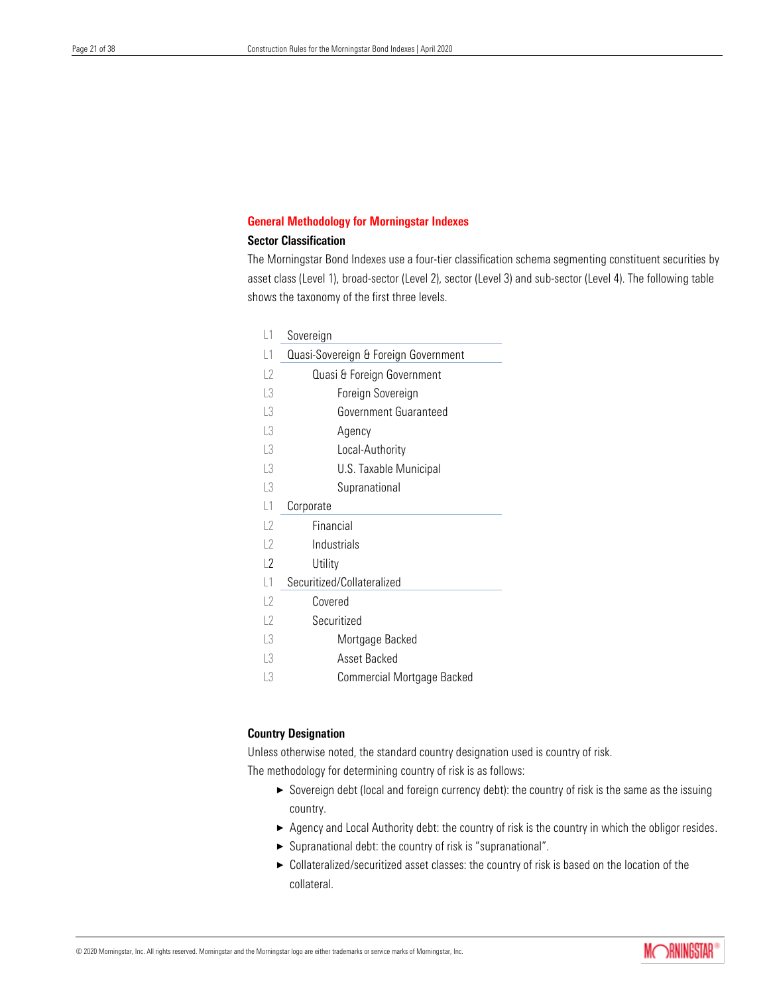## General Methodology for Morningstar Indexes

#### Sector Classification

The Morningstar Bond Indexes use a four-tier classification schema segmenting constituent securities by asset class (Level 1), broad-sector (Level 2), sector (Level 3) and sub-sector (Level 4). The following table shows the taxonomy of the first three levels.

| l 1                 | Sovereign                            |
|---------------------|--------------------------------------|
| L1                  | Quasi-Sovereign & Foreign Government |
| L <sub>2</sub>      | Quasi & Foreign Government           |
| L3                  | Foreign Sovereign                    |
| L3                  | Government Guaranteed                |
| L3                  | Agency                               |
| L3                  | Local-Authority                      |
| L3                  | U.S. Taxable Municipal               |
| L3                  | Supranational                        |
| L1                  | Corporate                            |
| L2                  | Financial                            |
| $\lfloor 2 \rfloor$ | Industrials                          |
| $\mathbf{2}$        | Utility                              |
| L1                  | Securitized/Collateralized           |
| L2                  | Covered                              |
| L2                  | Securitized                          |
| L3                  | Mortgage Backed                      |
| L3                  | Asset Backed                         |
| L3                  | Commercial Mortgage Backed           |

## Country Designation

Unless otherwise noted, the standard country designation used is country of risk. The methodology for determining country of risk is as follows:

- ▶ Sovereign debt (local and foreign currency debt): the country of risk is the same as the issuing country.
- ▶ Agency and Local Authority debt: the country of risk is the country in which the obligor resides.
- $\blacktriangleright$  Supranational debt: the country of risk is "supranational".
- ▶ Collateralized/securitized asset classes: the country of risk is based on the location of the collateral.

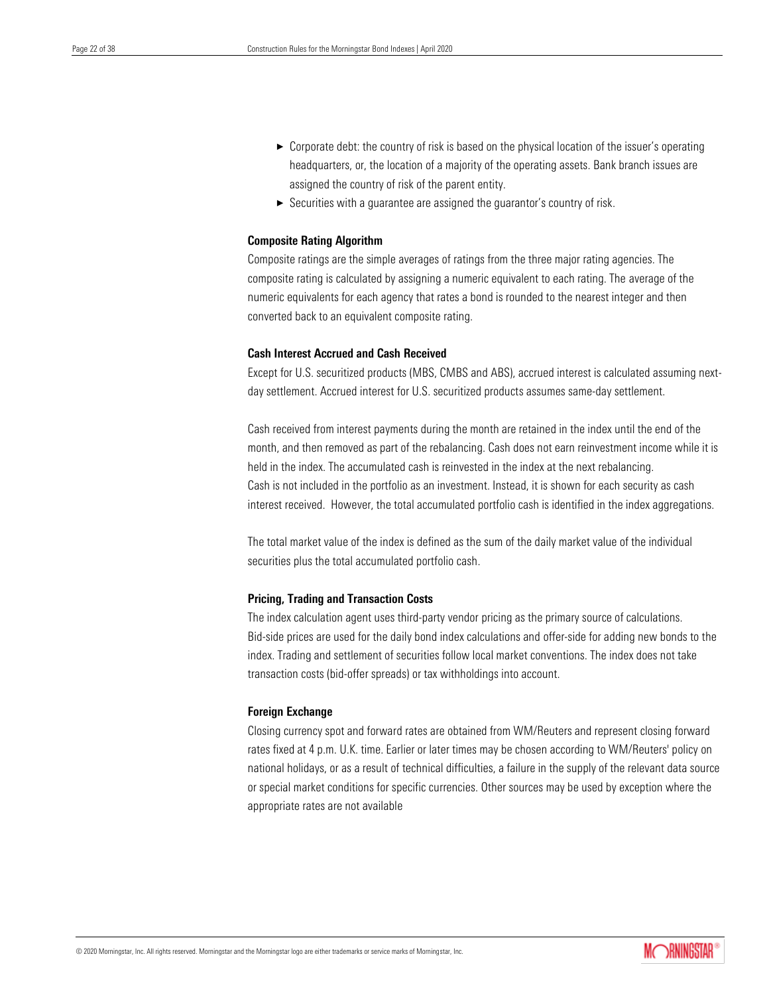- $\triangleright$  Corporate debt: the country of risk is based on the physical location of the issuer's operating headquarters, or, the location of a majority of the operating assets. Bank branch issues are assigned the country of risk of the parent entity.
- $\triangleright$  Securities with a guarantee are assigned the guarantor's country of risk.

#### Composite Rating Algorithm

Composite ratings are the simple averages of ratings from the three major rating agencies. The composite rating is calculated by assigning a numeric equivalent to each rating. The average of the numeric equivalents for each agency that rates a bond is rounded to the nearest integer and then converted back to an equivalent composite rating.

## Cash Interest Accrued and Cash Received

Except for U.S. securitized products (MBS, CMBS and ABS), accrued interest is calculated assuming nextday settlement. Accrued interest for U.S. securitized products assumes same-day settlement.

Cash received from interest payments during the month are retained in the index until the end of the month, and then removed as part of the rebalancing. Cash does not earn reinvestment income while it is held in the index. The accumulated cash is reinvested in the index at the next rebalancing. Cash is not included in the portfolio as an investment. Instead, it is shown for each security as cash interest received. However, the total accumulated portfolio cash is identified in the index aggregations.

The total market value of the index is defined as the sum of the daily market value of the individual securities plus the total accumulated portfolio cash.

#### Pricing, Trading and Transaction Costs

The index calculation agent uses third-party vendor pricing as the primary source of calculations. Bid-side prices are used for the daily bond index calculations and offer-side for adding new bonds to the index. Trading and settlement of securities follow local market conventions. The index does not take transaction costs (bid-offer spreads) or tax withholdings into account.

#### Foreign Exchange

Closing currency spot and forward rates are obtained from WM/Reuters and represent closing forward rates fixed at 4 p.m. U.K. time. Earlier or later times may be chosen according to WM/Reuters' policy on national holidays, or as a result of technical difficulties, a failure in the supply of the relevant data source or special market conditions for specific currencies. Other sources may be used by exception where the appropriate rates are not available

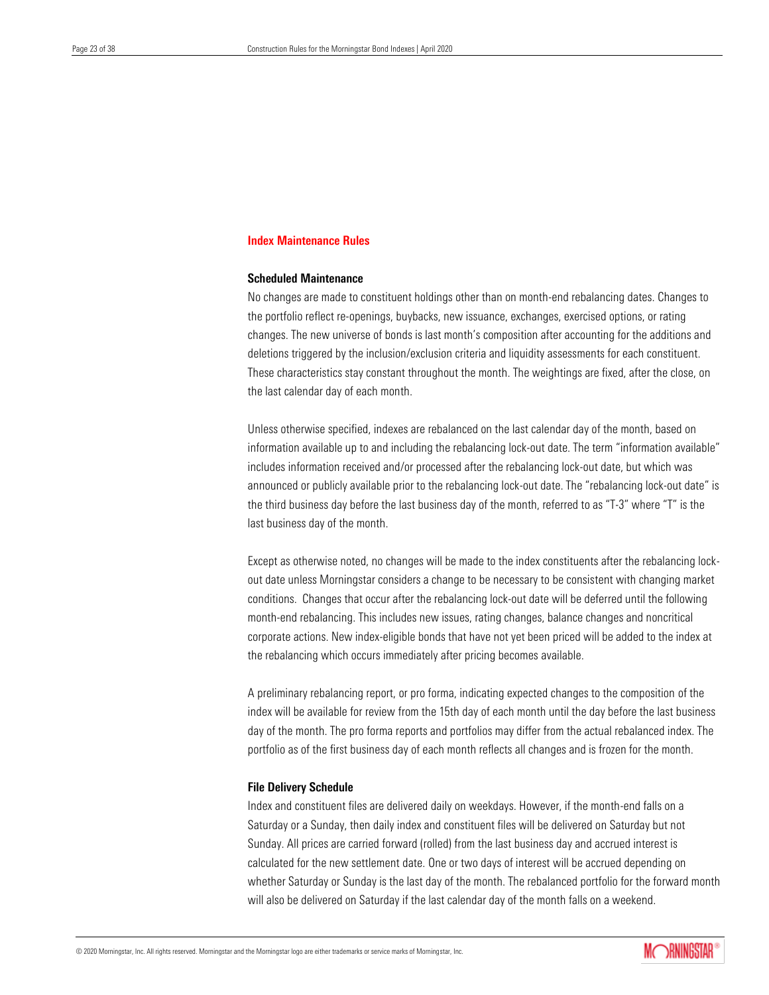## Index Maintenance Rules

## Scheduled Maintenance

No changes are made to constituent holdings other than on month-end rebalancing dates. Changes to the portfolio reflect re-openings, buybacks, new issuance, exchanges, exercised options, or rating changes. The new universe of bonds is last month's composition after accounting for the additions and deletions triggered by the inclusion/exclusion criteria and liquidity assessments for each constituent. These characteristics stay constant throughout the month. The weightings are fixed, after the close, on the last calendar day of each month.

Unless otherwise specified, indexes are rebalanced on the last calendar day of the month, based on information available up to and including the rebalancing lock-out date. The term "information available" includes information received and/or processed after the rebalancing lock-out date, but which was announced or publicly available prior to the rebalancing lock-out date. The "rebalancing lock-out date" is the third business day before the last business day of the month, referred to as "T-3" where "T" is the last business day of the month.

Except as otherwise noted, no changes will be made to the index constituents after the rebalancing lockout date unless Morningstar considers a change to be necessary to be consistent with changing market conditions. Changes that occur after the rebalancing lock-out date will be deferred until the following month-end rebalancing. This includes new issues, rating changes, balance changes and noncritical corporate actions. New index-eligible bonds that have not yet been priced will be added to the index at the rebalancing which occurs immediately after pricing becomes available.

A preliminary rebalancing report, or pro forma, indicating expected changes to the composition of the index will be available for review from the 15th day of each month until the day before the last business day of the month. The pro forma reports and portfolios may differ from the actual rebalanced index. The portfolio as of the first business day of each month reflects all changes and is frozen for the month.

## File Delivery Schedule

Index and constituent files are delivered daily on weekdays. However, if the month-end falls on a Saturday or a Sunday, then daily index and constituent files will be delivered on Saturday but not Sunday. All prices are carried forward (rolled) from the last business day and accrued interest is calculated for the new settlement date. One or two days of interest will be accrued depending on whether Saturday or Sunday is the last day of the month. The rebalanced portfolio for the forward month will also be delivered on Saturday if the last calendar day of the month falls on a weekend.

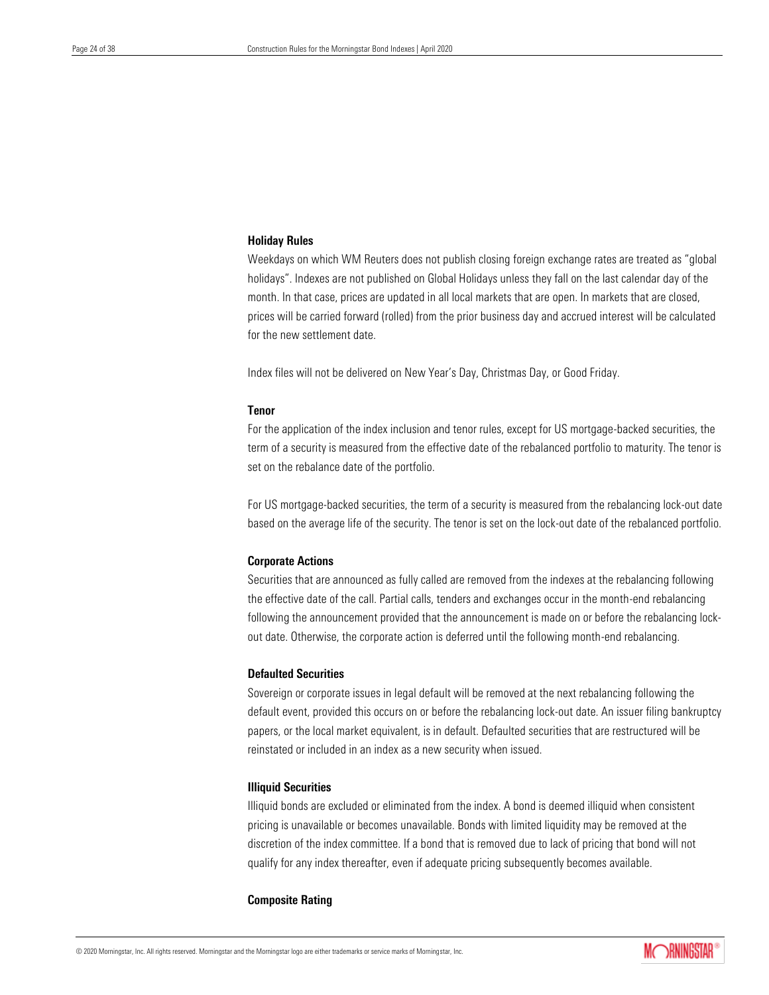## Holiday Rules

Weekdays on which WM Reuters does not publish closing foreign exchange rates are treated as "global holidays". Indexes are not published on Global Holidays unless they fall on the last calendar day of the month. In that case, prices are updated in all local markets that are open. In markets that are closed, prices will be carried forward (rolled) from the prior business day and accrued interest will be calculated for the new settlement date.

Index files will not be delivered on New Year's Day, Christmas Day, or Good Friday.

#### Tenor

For the application of the index inclusion and tenor rules, except for US mortgage-backed securities, the term of a security is measured from the effective date of the rebalanced portfolio to maturity. The tenor is set on the rebalance date of the portfolio.

For US mortgage-backed securities, the term of a security is measured from the rebalancing lock-out date based on the average life of the security. The tenor is set on the lock-out date of the rebalanced portfolio.

#### Corporate Actions

Securities that are announced as fully called are removed from the indexes at the rebalancing following the effective date of the call. Partial calls, tenders and exchanges occur in the month-end rebalancing following the announcement provided that the announcement is made on or before the rebalancing lockout date. Otherwise, the corporate action is deferred until the following month-end rebalancing.

## Defaulted Securities

Sovereign or corporate issues in legal default will be removed at the next rebalancing following the default event, provided this occurs on or before the rebalancing lock-out date. An issuer filing bankruptcy papers, or the local market equivalent, is in default. Defaulted securities that are restructured will be reinstated or included in an index as a new security when issued.

## Illiquid Securities

Illiquid bonds are excluded or eliminated from the index. A bond is deemed illiquid when consistent pricing is unavailable or becomes unavailable. Bonds with limited liquidity may be removed at the discretion of the index committee. If a bond that is removed due to lack of pricing that bond will not qualify for any index thereafter, even if adequate pricing subsequently becomes available.

#### Composite Rating

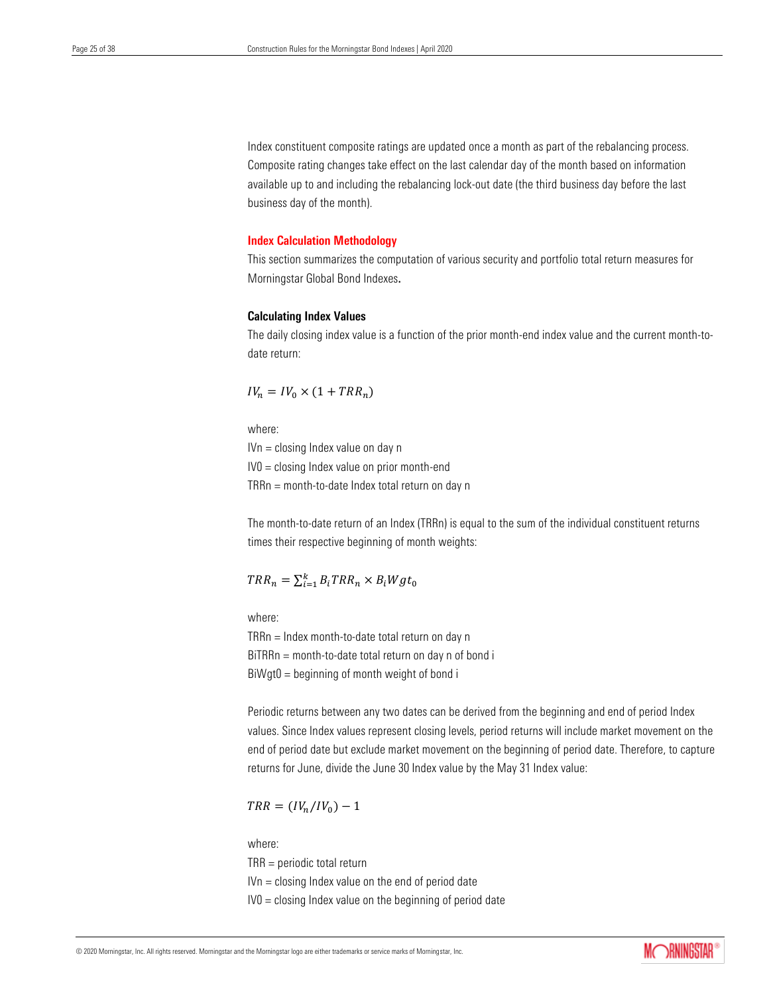Index constituent composite ratings are updated once a month as part of the rebalancing process. Composite rating changes take effect on the last calendar day of the month based on information available up to and including the rebalancing lock-out date (the third business day before the last business day of the month).

#### Index Calculation Methodology

This section summarizes the computation of various security and portfolio total return measures for Morningstar Global Bond Indexes.

#### Calculating Index Values

The daily closing index value is a function of the prior month-end index value and the current month-todate return:

 $IV_n = IV_0 \times (1 + TRR_n)$ 

where:

IVn = closing Index value on day n IV0 = closing Index value on prior month-end TRRn = month-to-date Index total return on day n

The month-to-date return of an Index (TRRn) is equal to the sum of the individual constituent returns times their respective beginning of month weights:

 $TRR_n = \sum_{i=1}^{k} B_i TRR_n \times B_i Wgt_0$ 

where:

TRRn = Index month-to-date total return on day n BiTRRn = month-to-date total return on day n of bond i BiWgt0 = beginning of month weight of bond i

Periodic returns between any two dates can be derived from the beginning and end of period Index values. Since Index values represent closing levels, period returns will include market movement on the end of period date but exclude market movement on the beginning of period date. Therefore, to capture returns for June, divide the June 30 Index value by the May 31 Index value:

 $TRR = (IV_n/IV_0) - 1$ 

where:

TRR = periodic total return  $IVn = closing Index value on the end of period date$ IV0 = closing Index value on the beginning of period date

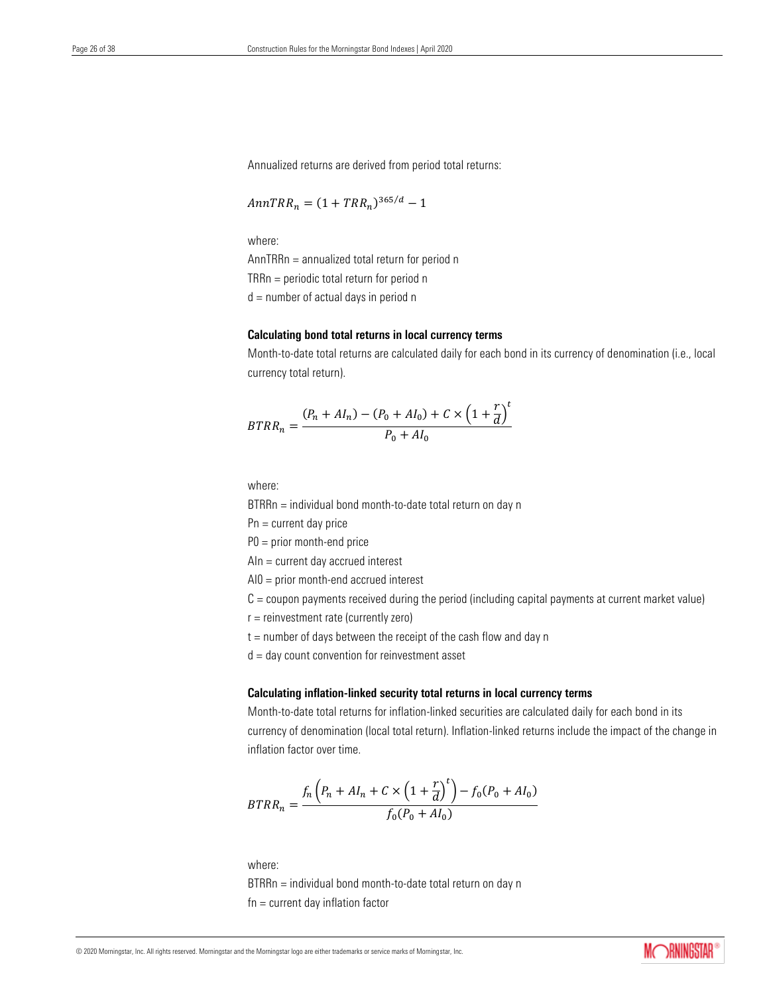Annualized returns are derived from period total returns:

$$
AnnTRR_n = (1 + TRR_n)^{365/d} - 1
$$

where:

AnnTRRn = annualized total return for period n TRRn = periodic total return for period n  $d$  = number of actual days in period n

#### Calculating bond total returns in local currency terms

Month-to-date total returns are calculated daily for each bond in its currency of denomination (i.e., local currency total return).

$$
BTRR_n = \frac{(P_n + AI_n) - (P_0 + AI_0) + C \times (1 + \frac{r}{d})^t}{P_0 + AI_0}
$$

where:

BTRRn = individual bond month-to-date total return on day n

Pn = current day price

P0 = prior month-end price

AIn = current day accrued interest

AI0 = prior month-end accrued interest

 $C =$  coupon payments received during the period (including capital payments at current market value)

 $r =$  reinvestment rate (currently zero)

 $t =$  number of days between the receipt of the cash flow and day n

d = day count convention for reinvestment asset

#### Calculating inflation-linked security total returns in local currency terms

Month-to-date total returns for inflation-linked securities are calculated daily for each bond in its currency of denomination (local total return). Inflation-linked returns include the impact of the change in inflation factor over time.

$$
BTRR_n = \frac{f_n\left(P_n + AI_n + C \times \left(1 + \frac{r}{d}\right)^t\right) - f_0(P_0 + AI_0)}{f_0(P_0 + AI_0)}
$$

where: BTRRn = individual bond month-to-date total return on day n fn = current day inflation factor

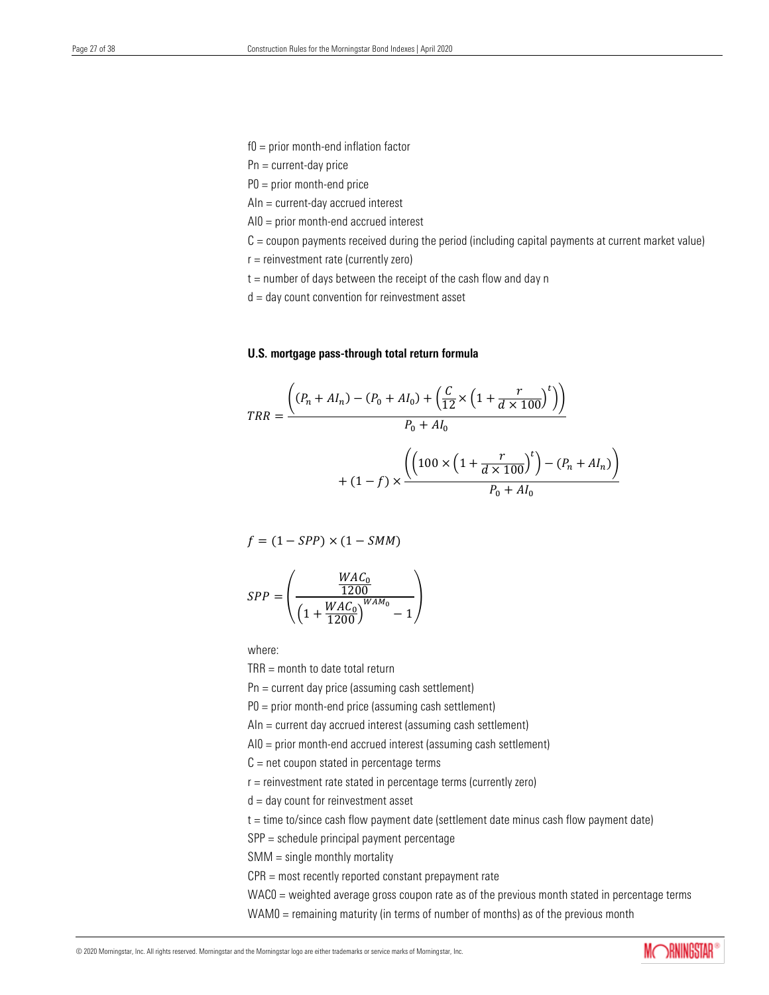- $f0 =$  prior month-end inflation factor
- Pn = current-day price
- P0 = prior month-end price
- AIn = current-day accrued interest
- AI0 = prior month-end accrued interest
- $C =$  coupon payments received during the period (including capital payments at current market value)
- $r =$  reinvestment rate (currently zero)
- $t =$  number of days between the receipt of the cash flow and day n
- d = day count convention for reinvestment asset

## U.S. mortgage pass-through total return formula

$$
TRR = \frac{\left( (P_n + AI_n) - (P_0 + AI_0) + \left( \frac{C}{12} \times \left( 1 + \frac{r}{d \times 100} \right)^t \right) \right)}{P_0 + AI_0} + (1 - f) \times \frac{\left( \left( 100 \times \left( 1 + \frac{r}{d \times 100} \right)^t \right) - (P_n + AI_n) \right)}{P_0 + AI_0}
$$

$$
f = (1 - SPP) \times (1 - SMM)
$$

$$
SPP = \left(\frac{\frac{WAC_0}{1200}}{\left(1 + \frac{WAC_0}{1200}\right)^{WAM_0} - 1}\right)
$$

where:

TRR = month to date total return

Pn = current day price (assuming cash settlement)

 $P0 =$  prior month-end price (assuming cash settlement)

AIn = current day accrued interest (assuming cash settlement)

- AI0 = prior month-end accrued interest (assuming cash settlement)
- $C = net coupon stated in percentage terms$

 $r =$  reinvestment rate stated in percentage terms (currently zero)

 $d = day$  count for reinvestment asset

 $t =$  time to/since cash flow payment date (settlement date minus cash flow payment date)

SPP = schedule principal payment percentage

SMM = single monthly mortality

CPR = most recently reported constant prepayment rate

WAC0 = weighted average gross coupon rate as of the previous month stated in percentage terms WAM0 = remaining maturity (in terms of number of months) as of the previous month

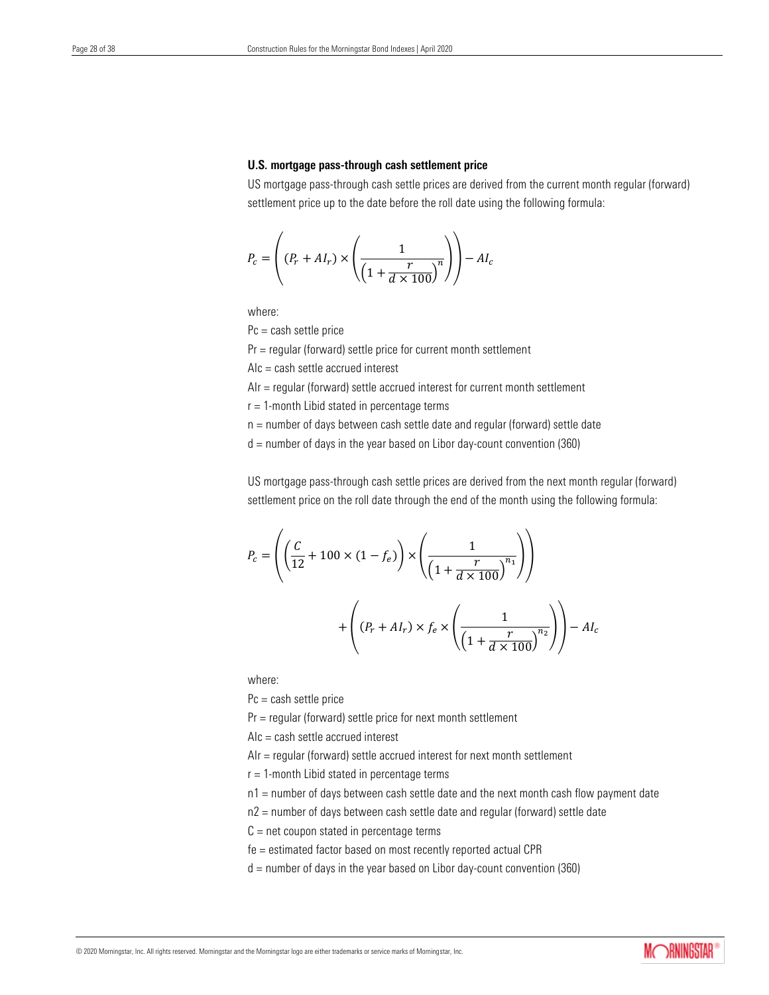## U.S. mortgage pass-through cash settlement price

US mortgage pass-through cash settle prices are derived from the current month regular (forward) settlement price up to the date before the roll date using the following formula:

$$
P_c = \left( (P_r + AI_r) \times \left( \frac{1}{\left(1 + \frac{r}{d \times 100}\right)^n} \right) - AI_c
$$

where:

 $Pc =$  cash settle price

Pr = regular (forward) settle price for current month settlement

AIc = cash settle accrued interest

AIr = regular (forward) settle accrued interest for current month settlement

 $r = 1$ -month Libid stated in percentage terms

n = number of days between cash settle date and regular (forward) settle date

 $d$  = number of days in the year based on Libor day-count convention (360)

US mortgage pass-through cash settle prices are derived from the next month regular (forward) settlement price on the roll date through the end of the month using the following formula:

$$
P_c = \left( \left( \frac{C}{12} + 100 \times (1 - f_e) \right) \times \left( \frac{1}{\left( 1 + \frac{r}{d \times 100} \right)^{n_1}} \right) \right)
$$

$$
+ \left( (P_r + AI_r) \times f_e \times \left( \frac{1}{\left( 1 + \frac{r}{d \times 100} \right)^{n_2}} \right) \right) - AI_c
$$

where:

Pc = cash settle price

Pr = regular (forward) settle price for next month settlement

AIc = cash settle accrued interest

- AIr = regular (forward) settle accrued interest for next month settlement
- $r = 1$ -month Libid stated in percentage terms
- $n1$  = number of days between cash settle date and the next month cash flow payment date
- n2 = number of days between cash settle date and regular (forward) settle date

 $C = net coupon stated in percentage terms$ 

fe = estimated factor based on most recently reported actual CPR

 $d$  = number of days in the year based on Libor day-count convention (360)

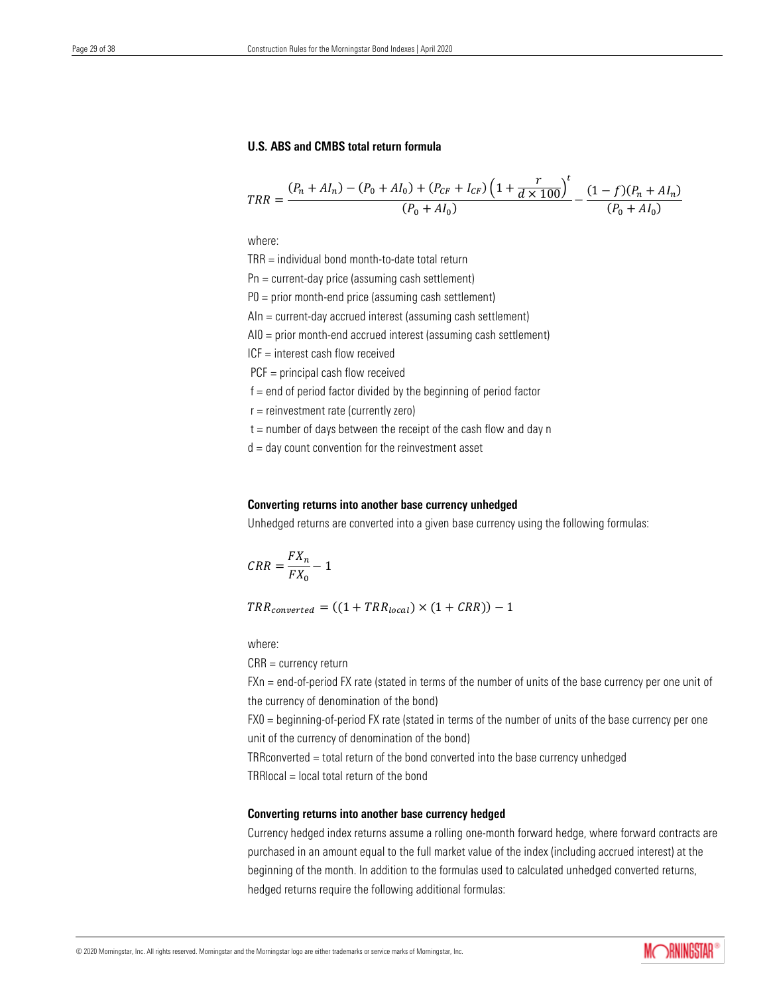#### U.S. ABS and CMBS total return formula

$$
TRR = \frac{(P_n + AI_n) - (P_0 + AI_0) + (P_{CF} + I_{CF}) \left(1 + \frac{r}{d \times 100}\right)^t}{(P_0 + AI_0)} - \frac{(1 - f)(P_n + AI_n)}{(P_0 + AI_0)}
$$

where:

TRR = individual bond month-to-date total return

Pn = current-day price (assuming cash settlement)

P0 = prior month-end price (assuming cash settlement)

AIn = current-day accrued interest (assuming cash settlement)

AI0 = prior month-end accrued interest (assuming cash settlement)

ICF = interest cash flow received

PCF = principal cash flow received

 $f = end$  of period factor divided by the beginning of period factor

 $r =$  reinvestment rate (currently zero)

 $t =$  number of days between the receipt of the cash flow and day n

 $d = day$  count convention for the reinvestment asset

#### Converting returns into another base currency unhedged

Unhedged returns are converted into a given base currency using the following formulas:

$$
CRR = \frac{FX_n}{FX_0} - 1
$$

 $TRR_{converted} = ((1 + TRR_{local}) \times (1 + CRR)) - 1$ 

where:

CRR = currency return

FXn = end-of-period FX rate (stated in terms of the number of units of the base currency per one unit of the currency of denomination of the bond)

FX0 = beginning-of-period FX rate (stated in terms of the number of units of the base currency per one unit of the currency of denomination of the bond)

TRRconverted = total return of the bond converted into the base currency unhedged  $TRRlocal = local total return of the bond$ 

#### Converting returns into another base currency hedged

Currency hedged index returns assume a rolling one-month forward hedge, where forward contracts are purchased in an amount equal to the full market value of the index (including accrued interest) at the beginning of the month. In addition to the formulas used to calculated unhedged converted returns, hedged returns require the following additional formulas:

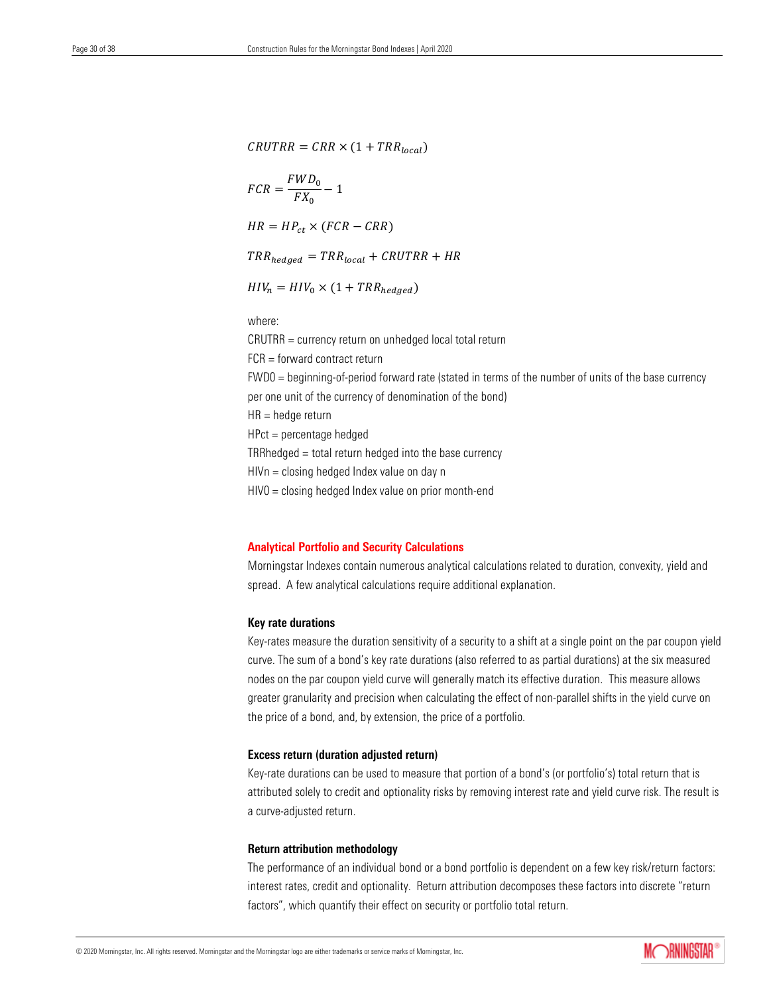$CRUTRR = CRR \times (1 + TRR_{local})$ 

$$
FCR = \frac{FWD_0}{FX_0} - 1
$$

 $HR = HP_{ct} \times (FCR - CRR)$ 

 $TRR_{heded} = TRR_{local} + CRUTRR + HR$ 

$$
HIV_n = HIV_0 \times (1 + TRR_{hedge})
$$

where:

CRUTRR = currency return on unhedged local total return FCR = forward contract return FWD0 = beginning-of-period forward rate (stated in terms of the number of units of the base currency per one unit of the currency of denomination of the bond) HR = hedge return HPct = percentage hedged TRRhedged = total return hedged into the base currency HIVn = closing hedged Index value on day n HIV0 = closing hedged Index value on prior month-end

#### Analytical Portfolio and Security Calculations

Morningstar Indexes contain numerous analytical calculations related to duration, convexity, yield and spread. A few analytical calculations require additional explanation.

#### Key rate durations

Key-rates measure the duration sensitivity of a security to a shift at a single point on the par coupon yield curve. The sum of a bond's key rate durations (also referred to as partial durations) at the six measured nodes on the par coupon yield curve will generally match its effective duration. This measure allows greater granularity and precision when calculating the effect of non-parallel shifts in the yield curve on the price of a bond, and, by extension, the price of a portfolio.

#### Excess return (duration adjusted return)

Key-rate durations can be used to measure that portion of a bond's (or portfolio's) total return that is attributed solely to credit and optionality risks by removing interest rate and yield curve risk. The result is a curve-adjusted return.

## Return attribution methodology

The performance of an individual bond or a bond portfolio is dependent on a few key risk/return factors: interest rates, credit and optionality. Return attribution decomposes these factors into discrete "return factors", which quantify their effect on security or portfolio total return.

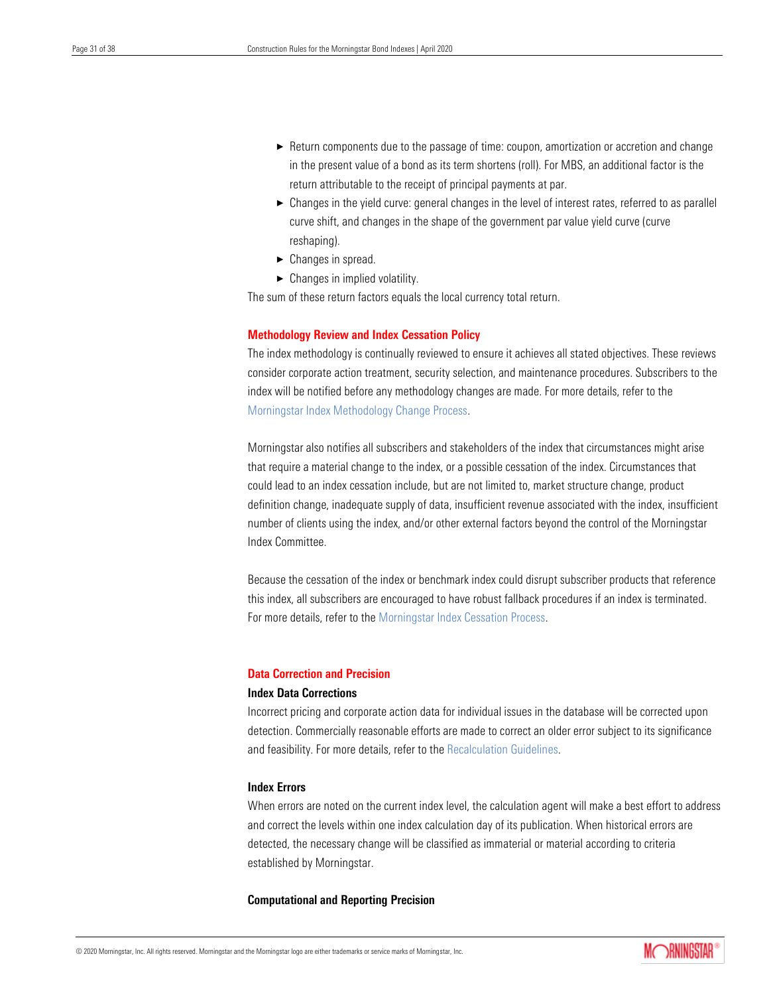- $\blacktriangleright$  Return components due to the passage of time: coupon, amortization or accretion and change in the present value of a bond as its term shortens (roll). For MBS, an additional factor is the return attributable to the receipt of principal payments at par.
- $\triangleright$  Changes in the yield curve: general changes in the level of interest rates, referred to as parallel curve shift, and changes in the shape of the government par value yield curve (curve reshaping).
- $\blacktriangleright$  Changes in spread.
- $\blacktriangleright$  Changes in implied volatility.

The sum of these return factors equals the local currency total return.

#### Methodology Review and Index Cessation Policy

The index methodology is continually reviewed to ensure it achieves all stated objectives. These reviews consider corporate action treatment, security selection, and maintenance procedures. Subscribers to the index will be notified before any methodology changes are made. For more details, refer to the [Morningstar Index Methodology Change Process.](http://corporate.morningstar.com/US/html/pdf.htm?../documents/IOSCO%20Policy/wp_ChangeProcess_031616.pdf)

Morningstar also notifies all subscribers and stakeholders of the index that circumstances might arise that require a material change to the index, or a possible cessation of the index. Circumstances that could lead to an index cessation include, but are not limited to, market structure change, product definition change, inadequate supply of data, insufficient revenue associated with the index, insufficient number of clients using the index, and/or other external factors beyond the control of the Morningstar Index Committee.

Because the cessation of the index or benchmark index could disrupt subscriber products that reference this index, all subscribers are encouraged to have robust fallback procedures if an index is terminated. For more details, refer to th[e Morningstar Index Cessation Process.](http://corporate.morningstar.com/US/html/pdf.htm?../documents/IOSCO%20Policy/Index-Cessation-Process-Summary.pdf) 

#### Data Correction and Precision

#### Index Data Corrections

Incorrect pricing and corporate action data for individual issues in the database will be corrected upon detection. Commercially reasonable efforts are made to correct an older error subject to its significance and feasibility. For more details, refer to the [Recalculation Guidelines.](http://corporate.morningstar.com/US/html/pdf.htm?../documents/IOSCO%20Policy/Morningstar_Index_Recalculation_Guidelines_120315.pdf)

## Index Errors

When errors are noted on the current index level, the calculation agent will make a best effort to address and correct the levels within one index calculation day of its publication. When historical errors are detected, the necessary change will be classified as immaterial or material according to criteria established by Morningstar.

#### Computational and Reporting Precision

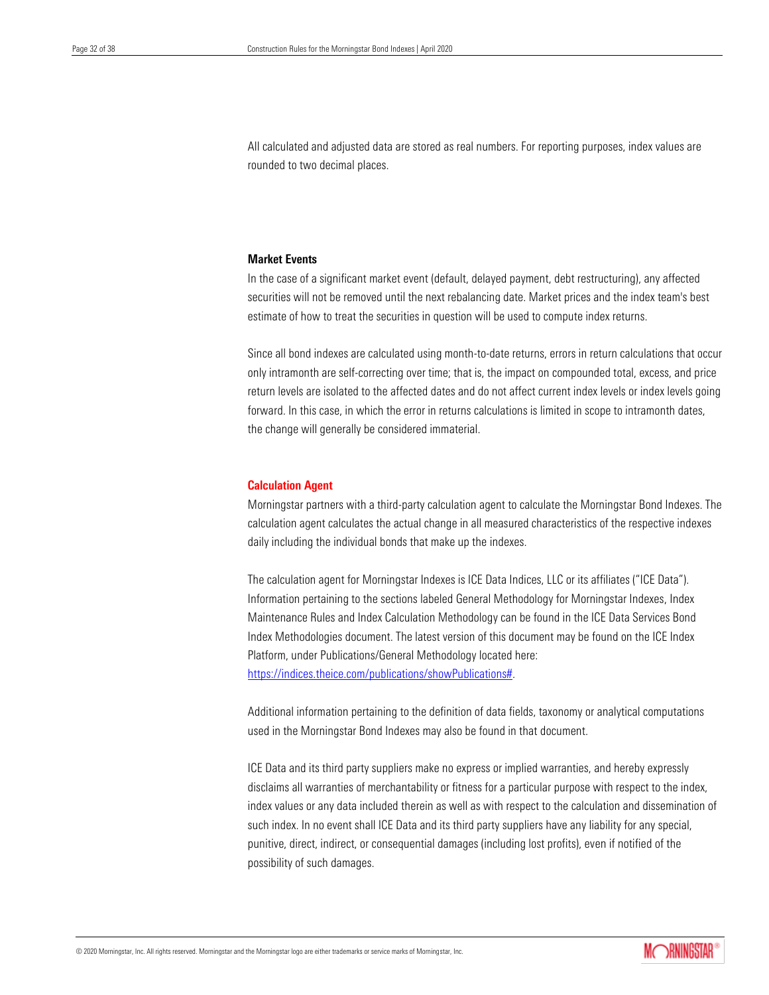All calculated and adjusted data are stored as real numbers. For reporting purposes, index values are rounded to two decimal places.

## Market Events

In the case of a significant market event (default, delayed payment, debt restructuring), any affected securities will not be removed until the next rebalancing date. Market prices and the index team's best estimate of how to treat the securities in question will be used to compute index returns.

Since all bond indexes are calculated using month-to-date returns, errors in return calculations that occur only intramonth are self-correcting over time; that is, the impact on compounded total, excess, and price return levels are isolated to the affected dates and do not affect current index levels or index levels going forward. In this case, in which the error in returns calculations is limited in scope to intramonth dates, the change will generally be considered immaterial.

#### Calculation Agent

Morningstar partners with a third-party calculation agent to calculate the Morningstar Bond Indexes. The calculation agent calculates the actual change in all measured characteristics of the respective indexes daily including the individual bonds that make up the indexes.

The calculation agent for Morningstar Indexes is ICE Data Indices, LLC or its affiliates ("ICE Data"). Information pertaining to the sections labeled General Methodology for Morningstar Indexes, Index Maintenance Rules and Index Calculation Methodology can be found in the ICE Data Services Bond Index Methodologies document. The latest version of this document may be found on the ICE Index Platform, under Publications/General Methodology located here: [https://indices.theice.com/publications/showPublications#.](https://indices.theice.com/publications/showPublications)

Additional information pertaining to the definition of data fields, taxonomy or analytical computations used in the Morningstar Bond Indexes may also be found in that document.

ICE Data and its third party suppliers make no express or implied warranties, and hereby expressly disclaims all warranties of merchantability or fitness for a particular purpose with respect to the index, index values or any data included therein as well as with respect to the calculation and dissemination of such index. In no event shall ICE Data and its third party suppliers have any liability for any special, punitive, direct, indirect, or consequential damages (including lost profits), even if notified of the possibility of such damages.

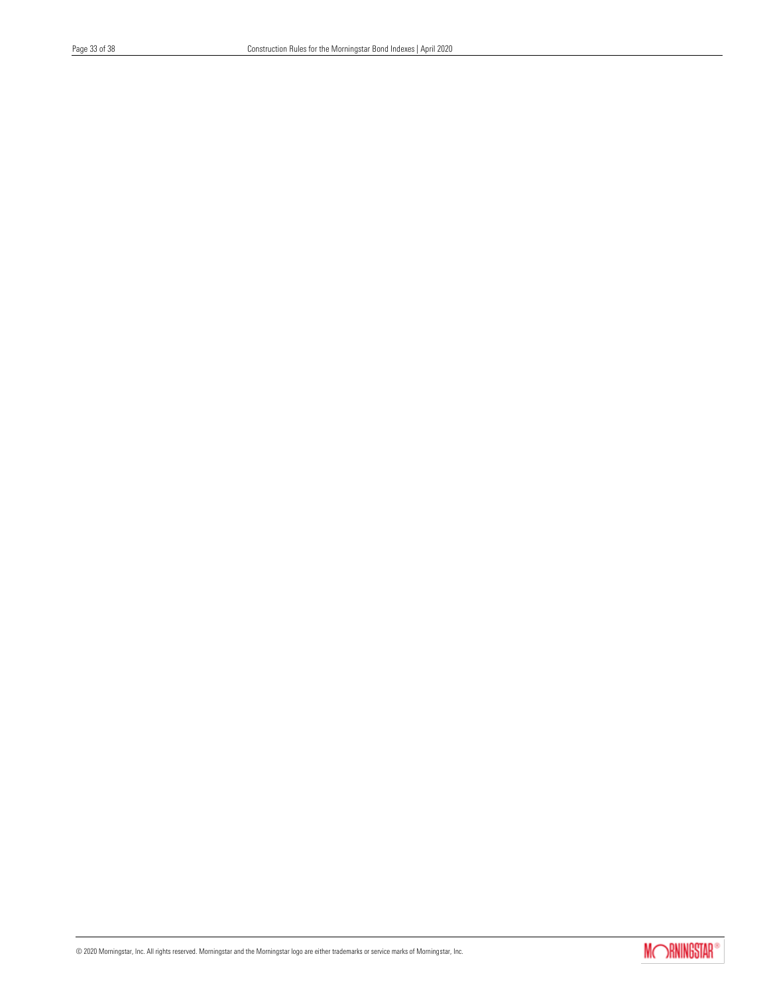

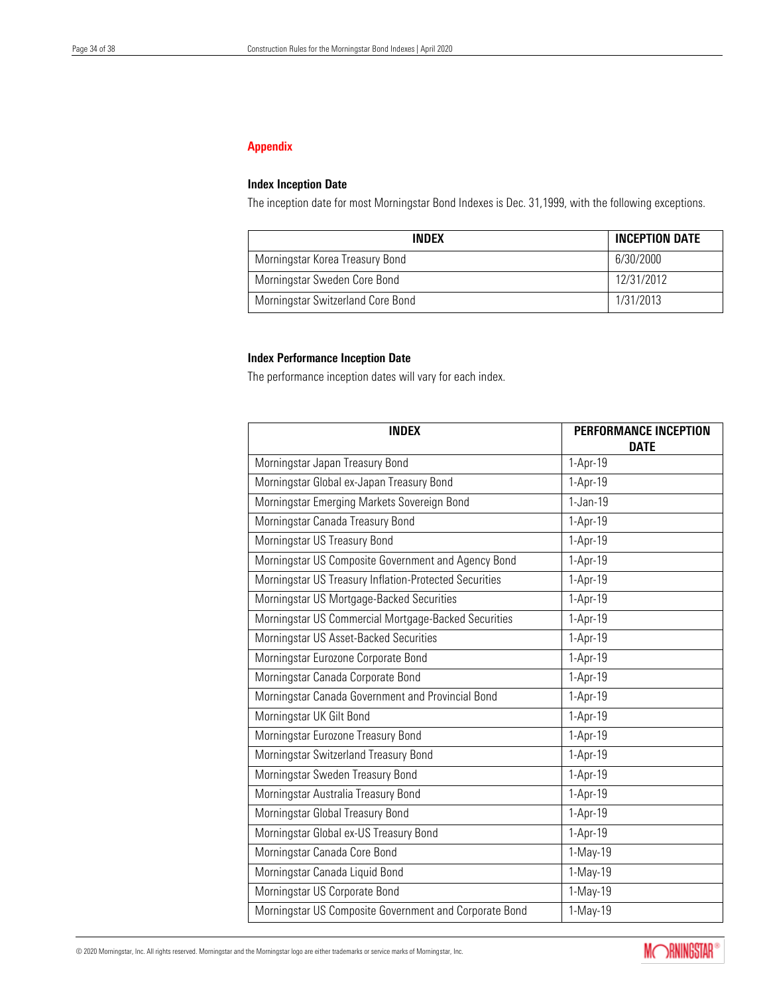## Appendix

# Index Inception Date

The inception date for most Morningstar Bond Indexes is Dec. 31,1999, with the following exceptions.

| <b>INDEX</b>                      | <b>INCEPTION DATE</b> |
|-----------------------------------|-----------------------|
| Morningstar Korea Treasury Bond   | 6/30/2000             |
| Morningstar Sweden Core Bond      | 12/31/2012            |
| Morningstar Switzerland Core Bond | 1/31/2013             |

## Index Performance Inception Date

The performance inception dates will vary for each index.

| <b>INDEX</b>                                           | PERFORMANCE INCEPTION |
|--------------------------------------------------------|-----------------------|
|                                                        | <b>DATE</b>           |
| Morningstar Japan Treasury Bond                        | 1-Apr-19              |
| Morningstar Global ex-Japan Treasury Bond              | 1-Apr-19              |
| Morningstar Emerging Markets Sovereign Bond            | 1-Jan-19              |
| Morningstar Canada Treasury Bond                       | 1-Apr-19              |
| Morningstar US Treasury Bond                           | 1-Apr-19              |
| Morningstar US Composite Government and Agency Bond    | 1-Apr-19              |
| Morningstar US Treasury Inflation-Protected Securities | 1-Apr-19              |
| Morningstar US Mortgage-Backed Securities              | 1-Apr-19              |
| Morningstar US Commercial Mortgage-Backed Securities   | 1-Apr-19              |
| Morningstar US Asset-Backed Securities                 | 1-Apr-19              |
| Morningstar Eurozone Corporate Bond                    | 1-Apr-19              |
| Morningstar Canada Corporate Bond                      | 1-Apr-19              |
| Morningstar Canada Government and Provincial Bond      | 1-Apr-19              |
| Morningstar UK Gilt Bond                               | 1-Apr-19              |
| Morningstar Eurozone Treasury Bond                     | 1-Apr-19              |
| Morningstar Switzerland Treasury Bond                  | 1-Apr-19              |
| Morningstar Sweden Treasury Bond                       | 1-Apr-19              |
| Morningstar Australia Treasury Bond                    | 1-Apr-19              |
| Morningstar Global Treasury Bond                       | 1-Apr-19              |
| Morningstar Global ex-US Treasury Bond                 | 1-Apr-19              |
| Morningstar Canada Core Bond                           | 1-May-19              |
| Morningstar Canada Liquid Bond                         | 1-May-19              |
| Morningstar US Corporate Bond                          | 1-May-19              |
| Morningstar US Composite Government and Corporate Bond | 1-May-19              |
|                                                        |                       |

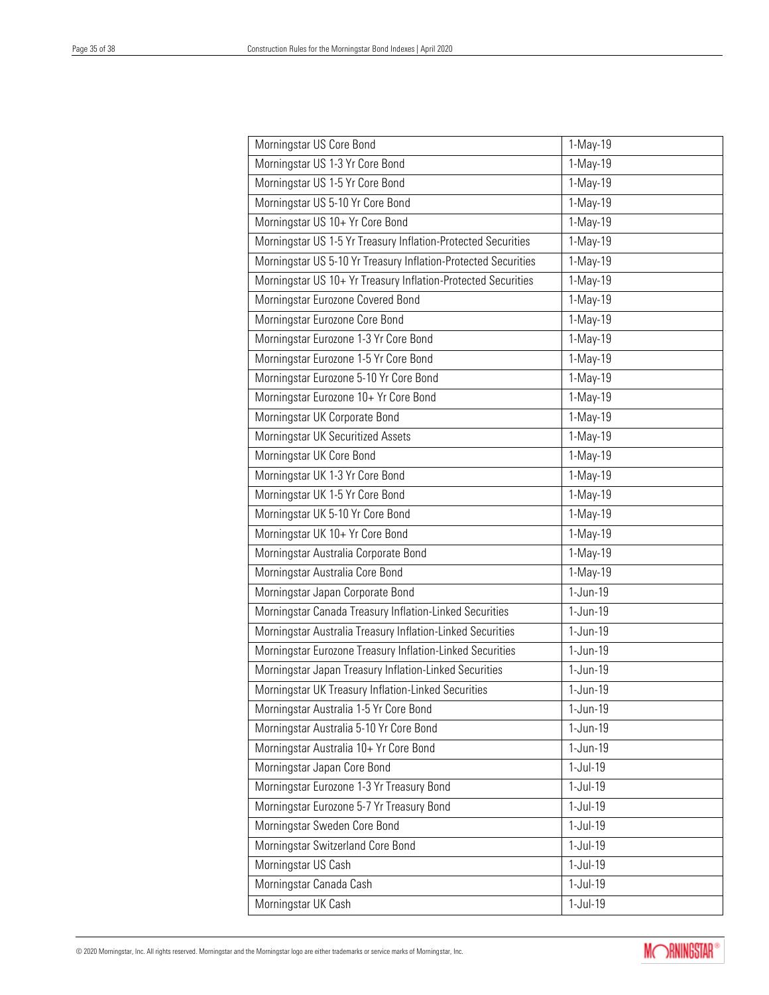| Morningstar US Core Bond                                       | 1-May-19   |
|----------------------------------------------------------------|------------|
| Morningstar US 1-3 Yr Core Bond                                | 1-May-19   |
| Morningstar US 1-5 Yr Core Bond                                | 1-May-19   |
| Morningstar US 5-10 Yr Core Bond                               | 1-May-19   |
| Morningstar US 10+ Yr Core Bond                                | 1-May-19   |
| Morningstar US 1-5 Yr Treasury Inflation-Protected Securities  | 1-May-19   |
| Morningstar US 5-10 Yr Treasury Inflation-Protected Securities | 1-May-19   |
| Morningstar US 10+ Yr Treasury Inflation-Protected Securities  | 1-May-19   |
| Morningstar Eurozone Covered Bond                              | 1-May-19   |
| Morningstar Eurozone Core Bond                                 | 1-May-19   |
| Morningstar Eurozone 1-3 Yr Core Bond                          | 1-May-19   |
| Morningstar Eurozone 1-5 Yr Core Bond                          | 1-May-19   |
| Morningstar Eurozone 5-10 Yr Core Bond                         | 1-May-19   |
| Morningstar Eurozone 10+ Yr Core Bond                          | 1-May-19   |
| Morningstar UK Corporate Bond                                  | 1-May-19   |
| Morningstar UK Securitized Assets                              | 1-May-19   |
| Morningstar UK Core Bond                                       | 1-May-19   |
| Morningstar UK 1-3 Yr Core Bond                                | 1-May-19   |
| Morningstar UK 1-5 Yr Core Bond                                | 1-May-19   |
| Morningstar UK 5-10 Yr Core Bond                               | 1-May-19   |
| Morningstar UK 10+ Yr Core Bond                                | 1-May-19   |
| Morningstar Australia Corporate Bond                           | 1-May-19   |
| Morningstar Australia Core Bond                                | 1-May-19   |
| Morningstar Japan Corporate Bond                               | 1-Jun-19   |
| Morningstar Canada Treasury Inflation-Linked Securities        | 1-Jun-19   |
| Morningstar Australia Treasury Inflation-Linked Securities     | 1-Jun-19   |
| Morningstar Eurozone Treasury Inflation-Linked Securities      | 1-Jun-19   |
| Morningstar Japan Treasury Inflation-Linked Securities         | 1-Jun-19   |
| Morningstar UK Treasury Inflation-Linked Securities            | 1-Jun-19   |
| Morningstar Australia 1-5 Yr Core Bond                         | 1-Jun-19   |
| Morningstar Australia 5-10 Yr Core Bond                        | 1-Jun-19   |
| Morningstar Australia 10+ Yr Core Bond                         | 1-Jun-19   |
| Morningstar Japan Core Bond                                    | $1-Jul-19$ |
| Morningstar Eurozone 1-3 Yr Treasury Bond                      | $1-Jul-19$ |
| Morningstar Eurozone 5-7 Yr Treasury Bond                      | $1-Jul-19$ |
| Morningstar Sweden Core Bond                                   | $1-Jul-19$ |
| Morningstar Switzerland Core Bond                              | $1-Jul-19$ |
| Morningstar US Cash                                            | $1-Jul-19$ |
| Morningstar Canada Cash                                        | $1-Jul-19$ |
| Morningstar UK Cash                                            | $1-Jul-19$ |

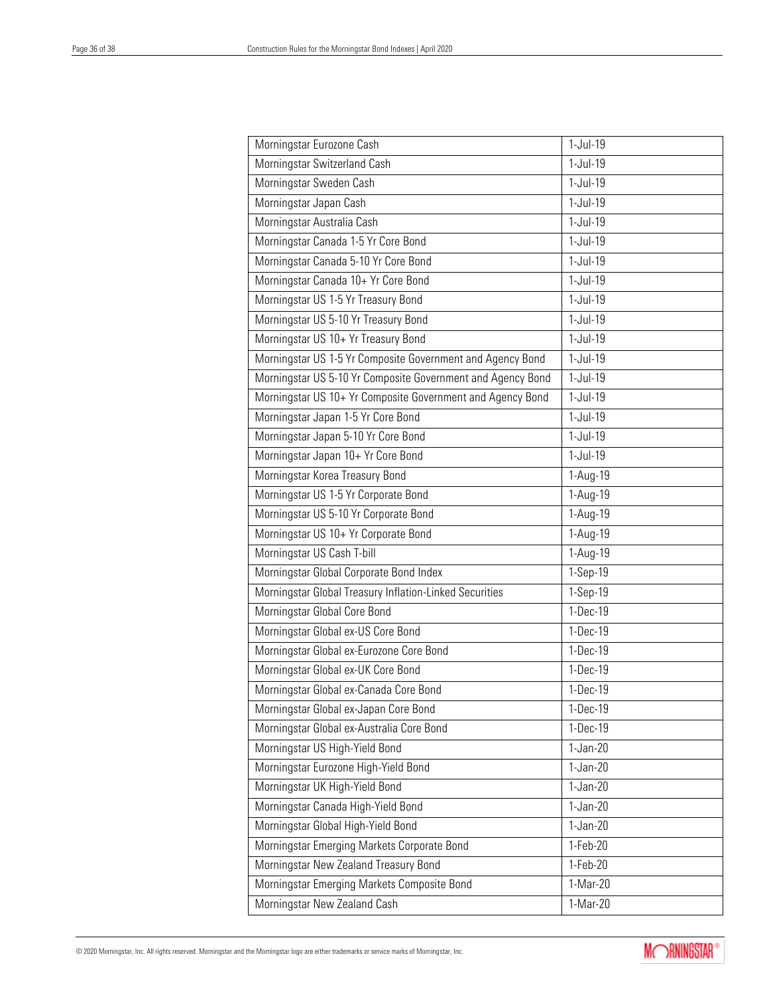| Morningstar Eurozone Cash                                   | $1-Jul-19$             |
|-------------------------------------------------------------|------------------------|
| Morningstar Switzerland Cash                                | $1-Jul-19$             |
| Morningstar Sweden Cash                                     | $1-Jul-19$             |
| Morningstar Japan Cash                                      | $1-Jul-19$             |
| Morningstar Australia Cash                                  | $1-Jul-19$             |
| Morningstar Canada 1-5 Yr Core Bond                         | $1-Jul-19$             |
| Morningstar Canada 5-10 Yr Core Bond                        | $1-Jul-19$             |
| Morningstar Canada 10+ Yr Core Bond                         | $1-Jul-19$             |
| Morningstar US 1-5 Yr Treasury Bond                         | $1-Jul-19$             |
| Morningstar US 5-10 Yr Treasury Bond                        | $\overline{1}$ -Jul-19 |
| Morningstar US 10+ Yr Treasury Bond                         | $1-Jul-19$             |
| Morningstar US 1-5 Yr Composite Government and Agency Bond  | $1-Jul-19$             |
| Morningstar US 5-10 Yr Composite Government and Agency Bond | $1-Jul-19$             |
| Morningstar US 10+ Yr Composite Government and Agency Bond  | $1-Jul-19$             |
| Morningstar Japan 1-5 Yr Core Bond                          | $1-Jul-19$             |
| Morningstar Japan 5-10 Yr Core Bond                         | $1-Jul-19$             |
| Morningstar Japan 10+ Yr Core Bond                          | $1-Jul-19$             |
| Morningstar Korea Treasury Bond                             | 1-Aug-19               |
| Morningstar US 1-5 Yr Corporate Bond                        | $\overline{1}$ -Aug-19 |
| Morningstar US 5-10 Yr Corporate Bond                       | 1-Aug-19               |
| Morningstar US 10+ Yr Corporate Bond                        | 1-Aug-19               |
| Morningstar US Cash T-bill                                  | 1-Aug-19               |
| Morningstar Global Corporate Bond Index                     | 1-Sep-19               |
| Morningstar Global Treasury Inflation-Linked Securities     | $1-Sep-19$             |
| Morningstar Global Core Bond                                | 1-Dec-19               |
| Morningstar Global ex-US Core Bond                          | 1-Dec-19               |
| Morningstar Global ex-Eurozone Core Bond                    | 1-Dec-19               |
| Morningstar Global ex-UK Core Bond                          | $1-Dec-19$             |
| Morningstar Global ex-Canada Core Bond                      | 1-Dec-19               |
| Morningstar Global ex-Japan Core Bond                       | 1-Dec-19               |
| Morningstar Global ex-Australia Core Bond                   | $1-Dec-19$             |
| Morningstar US High-Yield Bond                              | $1-Jan-20$             |
| Morningstar Eurozone High-Yield Bond                        | $1-Jan-20$             |
| Morningstar UK High-Yield Bond                              | $1-Jan-20$             |
| Morningstar Canada High-Yield Bond                          | $1-Jan-20$             |
| Morningstar Global High-Yield Bond                          | $1-Jan-20$             |
| Morningstar Emerging Markets Corporate Bond                 | 1-Feb-20               |
| Morningstar New Zealand Treasury Bond                       | 1-Feb-20               |
| Morningstar Emerging Markets Composite Bond                 | 1-Mar-20               |
| Morningstar New Zealand Cash                                | 1-Mar-20               |

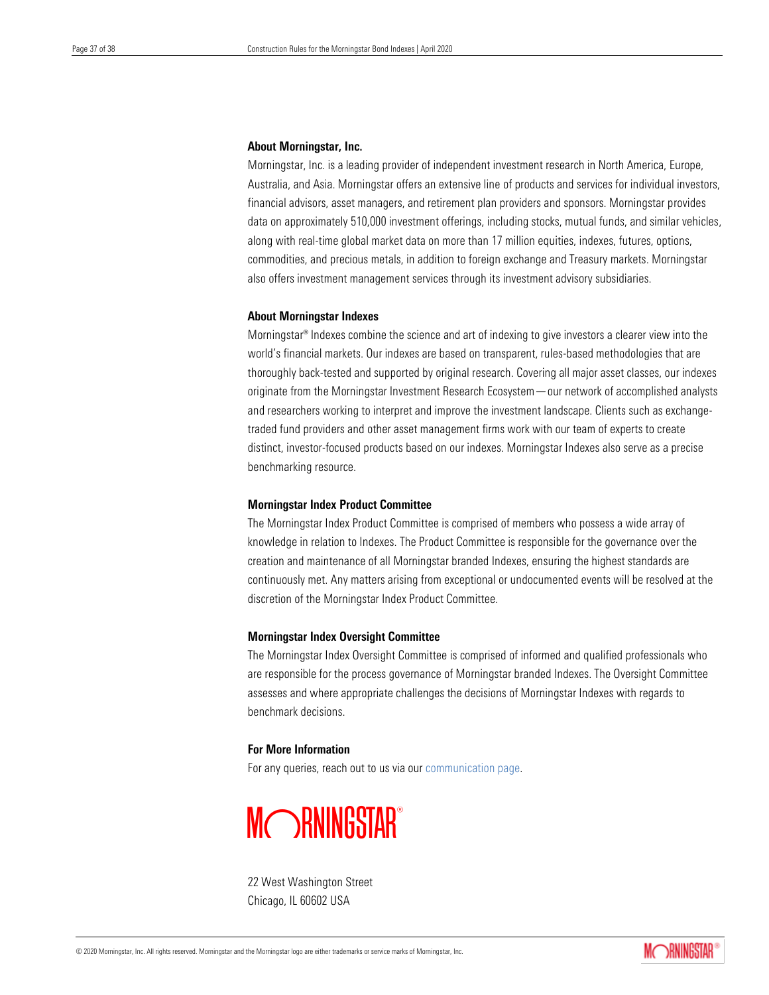#### About Morningstar, Inc.

Morningstar, Inc. is a leading provider of independent investment research in North America, Europe, Australia, and Asia. Morningstar offers an extensive line of products and services for individual investors, financial advisors, asset managers, and retirement plan providers and sponsors. Morningstar provides data on approximately 510,000 investment offerings, including stocks, mutual funds, and similar vehicles, along with real-time global market data on more than 17 million equities, indexes, futures, options, commodities, and precious metals, in addition to foreign exchange and Treasury markets. Morningstar also offers investment management services through its investment advisory subsidiaries.

#### About Morningstar Indexes

Morningstar® Indexes combine the science and art of indexing to give investors a clearer view into the world's financial markets. Our indexes are based on transparent, rules-based methodologies that are thoroughly back-tested and supported by original research. Covering all major asset classes, our indexes originate from the Morningstar Investment Research Ecosystem—our network of accomplished analysts and researchers working to interpret and improve the investment landscape. Clients such as exchangetraded fund providers and other asset management firms work with our team of experts to create distinct, investor-focused products based on our indexes. Morningstar Indexes also serve as a precise benchmarking resource.

#### Morningstar Index Product Committee

The Morningstar Index Product Committee is comprised of members who possess a wide array of knowledge in relation to Indexes. The Product Committee is responsible for the governance over the creation and maintenance of all Morningstar branded Indexes, ensuring the highest standards are continuously met. Any matters arising from exceptional or undocumented events will be resolved at the discretion of the Morningstar Index Product Committee.

#### Morningstar Index Oversight Committee

The Morningstar Index Oversight Committee is comprised of informed and qualified professionals who are responsible for the process governance of Morningstar branded Indexes. The Oversight Committee assesses and where appropriate challenges the decisions of Morningstar Indexes with regards to benchmark decisions.

#### For More Information

For any queries, reach out to us via our [communication page.](http://corporate.morningstar.com/US/html/pdf.htm?../documents/IOSCO%20Policy/Complaint_Inquiry_Process_120315.pdf) 



22 West Washington Street Chicago, IL 60602 USA